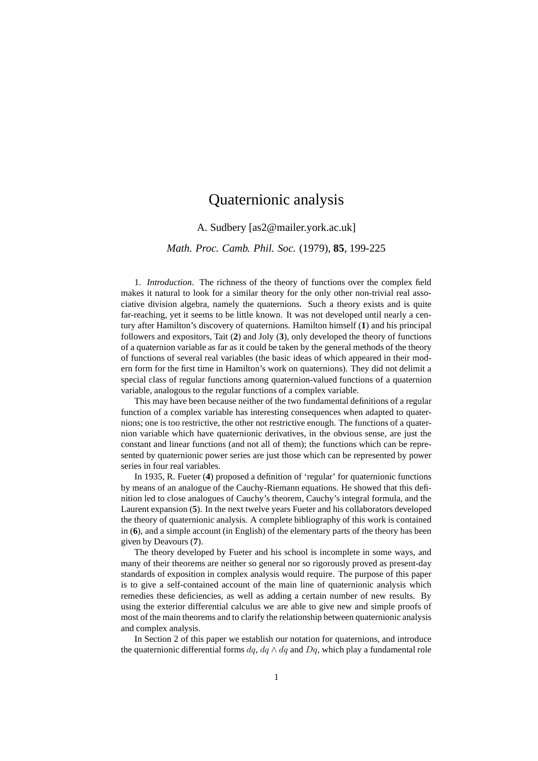## Quaternionic analysis

A. Sudbery [as2@mailer.york.ac.uk]

*Math. Proc. Camb. Phil. Soc.* (1979), **85**, 199-225

1. *Introduction*. The richness of the theory of functions over the complex field makes it natural to look for a similar theory for the only other non-trivial real associative division algebra, namely the quaternions. Such a theory exists and is quite far-reaching, yet it seems to be little known. It was not developed until nearly a century after Hamilton's discovery of quaternions. Hamilton himself (**1**) and his principal followers and expositors, Tait (**2**) and Joly (**3**), only developed the theory of functions of a quaternion variable as far as it could be taken by the general methods of the theory of functions of several real variables (the basic ideas of which appeared in their modern form for the first time in Hamilton's work on quaternions). They did not delimit a special class of regular functions among quaternion-valued functions of a quaternion variable, analogous to the regular functions of a complex variable.

This may have been because neither of the two fundamental definitions of a regular function of a complex variable has interesting consequences when adapted to quaternions; one is too restrictive, the other not restrictive enough. The functions of a quaternion variable which have quaternionic derivatives, in the obvious sense, are just the constant and linear functions (and not all of them); the functions which can be represented by quaternionic power series are just those which can be represented by power series in four real variables.

In 1935, R. Fueter (**4**) proposed a definition of 'regular' for quaternionic functions by means of an analogue of the Cauchy-Riemann equations. He showed that this definition led to close analogues of Cauchy's theorem, Cauchy's integral formula, and the Laurent expansion (**5**). In the next twelve years Fueter and his collaborators developed the theory of quaternionic analysis. A complete bibliography of this work is contained in (**6**), and a simple account (in English) of the elementary parts of the theory has been given by Deavours (**7**).

The theory developed by Fueter and his school is incomplete in some ways, and many of their theorems are neither so general nor so rigorously proved as present-day standards of exposition in complex analysis would require. The purpose of this paper is to give a self-contained account of the main line of quaternionic analysis which remedies these deficiencies, as well as adding a certain number of new results. By using the exterior differential calculus we are able to give new and simple proofs of most of the main theorems and to clarify the relationship between quaternionic analysis and complex analysis.

In Section 2 of this paper we establish our notation for quaternions, and introduce the quaternionic differential forms  $dq$ ,  $dq \wedge dq$  and  $Dq$ , which play a fundamental role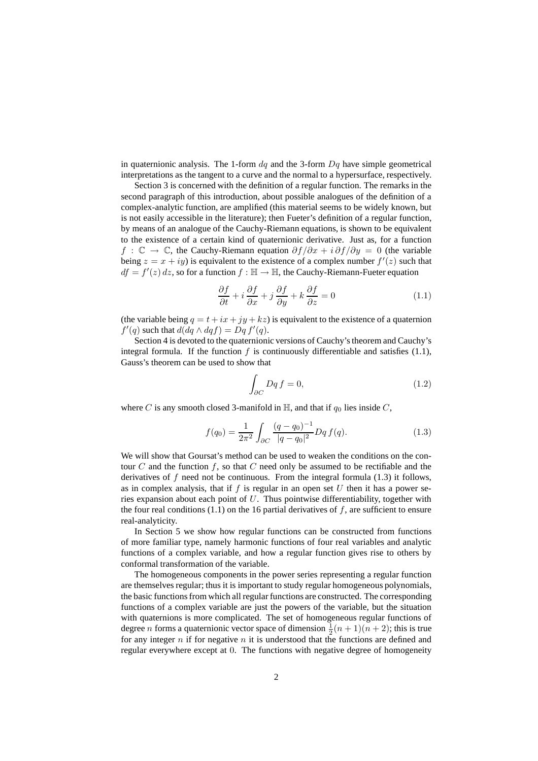in quaternionic analysis. The 1-form  $dq$  and the 3-form  $Dq$  have simple geometrical interpretations as the tangent to a curve and the normal to a hypersurface, respectively.

Section 3 is concerned with the definition of a regular function. The remarks in the second paragraph of this introduction, about possible analogues of the definition of a complex-analytic function, are amplified (this material seems to be widely known, but is not easily accessible in the literature); then Fueter's definition of a regular function, by means of an analogue of the Cauchy-Riemann equations, is shown to be equivalent to the existence of a certain kind of quaternionic derivative. Just as, for a function  $f : \mathbb{C} \to \mathbb{C}$ , the Cauchy-Riemann equation  $\partial f/\partial x + i \partial f/\partial y = 0$  (the variable being  $z = x + iy$  is equivalent to the existence of a complex number  $f'(z)$  such that  $df = f'(z) dz$ , so for a function  $f : \mathbb{H} \to \mathbb{H}$ , the Cauchy-Riemann-Fueter equation

$$
\frac{\partial f}{\partial t} + i \frac{\partial f}{\partial x} + j \frac{\partial f}{\partial y} + k \frac{\partial f}{\partial z} = 0 \tag{1.1}
$$

(the variable being  $q = t + ix + iy + kz$ ) is equivalent to the existence of a quaternion  $f'(q)$  such that  $d(dq \wedge dqf) = Dq f'(q)$ .

Section 4 is devoted to the quaternionic versions of Cauchy's theorem and Cauchy's integral formula. If the function  $f$  is continuously differentiable and satisfies (1.1), Gauss's theorem can be used to show that

$$
\int_{\partial C} Dq f = 0,\tag{1.2}
$$

where C is any smooth closed 3-manifold in  $\mathbb{H}$ , and that if  $q_0$  lies inside C,

$$
f(q_0) = \frac{1}{2\pi^2} \int_{\partial C} \frac{(q - q_0)^{-1}}{|q - q_0|^2} Dq f(q).
$$
 (1.3)

We will show that Goursat's method can be used to weaken the conditions on the contour  $C$  and the function  $f$ , so that  $C$  need only be assumed to be rectifiable and the derivatives of  $f$  need not be continuous. From the integral formula (1.3) it follows, as in complex analysis, that if  $f$  is regular in an open set  $U$  then it has a power series expansion about each point of U. Thus pointwise differentiability, together with the four real conditions  $(1.1)$  on the 16 partial derivatives of f, are sufficient to ensure real-analyticity.

In Section 5 we show how regular functions can be constructed from functions of more familiar type, namely harmonic functions of four real variables and analytic functions of a complex variable, and how a regular function gives rise to others by conformal transformation of the variable.

The homogeneous components in the power series representing a regular function are themselves regular; thus it is important to study regular homogeneous polynomials, the basic functionsfrom which all regular functions are constructed. The corresponding functions of a complex variable are just the powers of the variable, but the situation with quaternions is more complicated. The set of homogeneous regular functions of degree *n* forms a quaternionic vector space of dimension  $\frac{1}{2}(n+1)(n+2)$ ; this is true for any integer  $n$  if for negative  $n$  it is understood that the functions are defined and regular everywhere except at 0. The functions with negative degree of homogeneity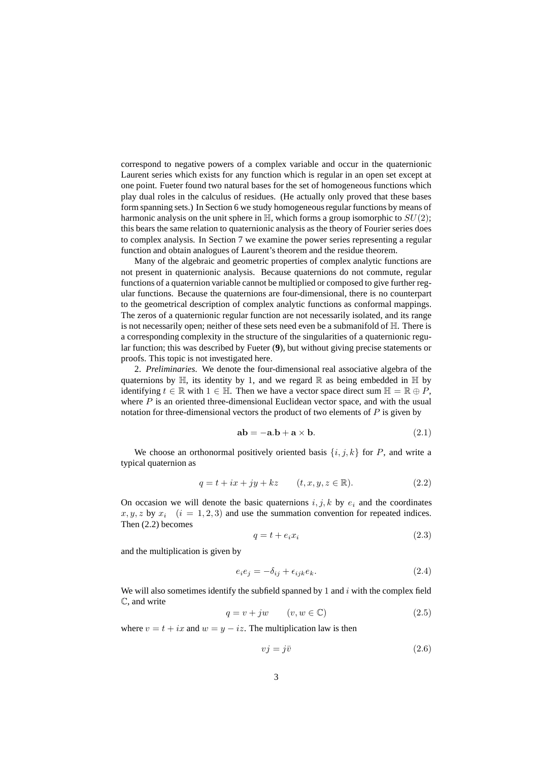correspond to negative powers of a complex variable and occur in the quaternionic Laurent series which exists for any function which is regular in an open set except at one point. Fueter found two natural bases for the set of homogeneous functions which play dual roles in the calculus of residues. (He actually only proved that these bases form spanning sets.) In Section 6 we study homogeneous regular functions by means of harmonic analysis on the unit sphere in  $\mathbb{H}$ , which forms a group isomorphic to  $SU(2)$ ; this bears the same relation to quaternionic analysis as the theory of Fourier series does to complex analysis. In Section 7 we examine the power series representing a regular function and obtain analogues of Laurent's theorem and the residue theorem.

Many of the algebraic and geometric properties of complex analytic functions are not present in quaternionic analysis. Because quaternions do not commute, regular functions of a quaternion variable cannot be multiplied or composed to give further regular functions. Because the quaternions are four-dimensional, there is no counterpart to the geometrical description of complex analytic functions as conformal mappings. The zeros of a quaternionic regular function are not necessarily isolated, and its range is not necessarily open; neither of these sets need even be a submanifold of  $\mathbb{H}$ . There is a corresponding complexity in the structure of the singularities of a quaternionic regular function; this was described by Fueter (**9**), but without giving precise statements or proofs. This topic is not investigated here.

2. *Preliminaries*. We denote the four-dimensional real associative algebra of the quaternions by  $\mathbb H$ , its identity by 1, and we regard  $\mathbb R$  as being embedded in  $\mathbb H$  by identifying  $t \in \mathbb{R}$  with  $1 \in \mathbb{H}$ . Then we have a vector space direct sum  $\mathbb{H} = \mathbb{R} \oplus P$ , where  $P$  is an oriented three-dimensional Euclidean vector space, and with the usual notation for three-dimensional vectors the product of two elements of  $P$  is given by

$$
ab = -a.b + a \times b. \tag{2.1}
$$

We choose an orthonormal positively oriented basis  $\{i, j, k\}$  for P, and write a typical quaternion as

$$
q = t + ix + jy + kz \qquad (t, x, y, z \in \mathbb{R}). \tag{2.2}
$$

On occasion we will denote the basic quaternions  $i, j, k$  by  $e_i$  and the coordinates  $x, y, z$  by  $x_i$   $(i = 1, 2, 3)$  and use the summation convention for repeated indices. Then (2.2) becomes

$$
q = t + e_i x_i \tag{2.3}
$$

and the multiplication is given by

$$
e_i e_j = -\delta_{ij} + \epsilon_{ijk} e_k. \tag{2.4}
$$

We will also sometimes identify the subfield spanned by 1 and  $i$  with the complex field C, and write

$$
q = v + jw \qquad (v, w \in \mathbb{C}) \tag{2.5}
$$

where  $v = t + ix$  and  $w = y - iz$ . The multiplication law is then

$$
vj = j\bar{v} \tag{2.6}
$$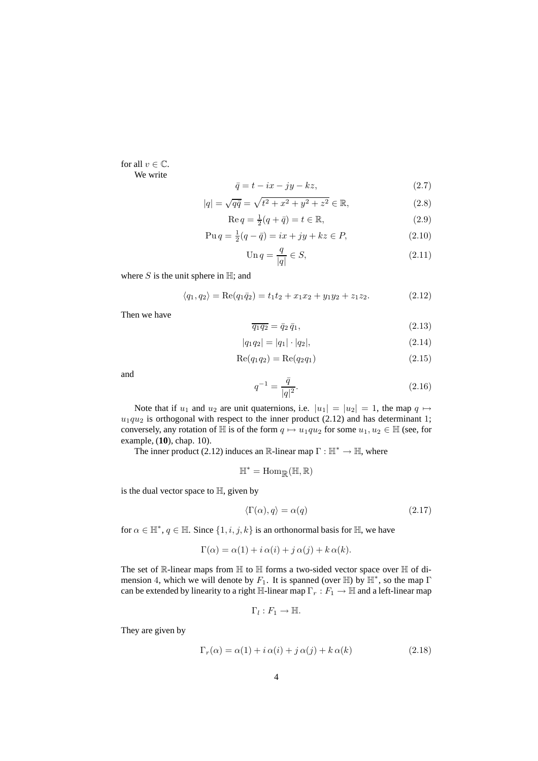for all  $v \in \mathbb{C}$ . We write

$$
\bar{q} = t - ix - jy - kz,\t\t(2.7)
$$

$$
|q| = \sqrt{q\bar{q}} = \sqrt{t^2 + x^2 + y^2 + z^2} \in \mathbb{R},\tag{2.8}
$$

$$
\operatorname{Re} q = \frac{1}{2}(q + \bar{q}) = t \in \mathbb{R},\tag{2.9}
$$

$$
Puq = \frac{1}{2}(q - \bar{q}) = ix + jy + kz \in P,
$$
\n(2.10)

$$
\operatorname{Un} q = \frac{q}{|q|} \in S,\tag{2.11}
$$

where  $S$  is the unit sphere in  $\mathbb{H}$ ; and

$$
\langle q_1, q_2 \rangle = \text{Re}(q_1 \bar{q}_2) = t_1 t_2 + x_1 x_2 + y_1 y_2 + z_1 z_2. \tag{2.12}
$$

Then we have

$$
\overline{q_1 q_2} = \overline{q}_2 \overline{q}_1,\tag{2.13}
$$

$$
|q_1 q_2| = |q_1| \cdot |q_2|,\tag{2.14}
$$

$$
Re(q_1 q_2) = Re(q_2 q_1)
$$
 (2.15)

and

$$
q^{-1} = \frac{\bar{q}}{|q|^2}.
$$
\n(2.16)

Note that if  $u_1$  and  $u_2$  are unit quaternions, i.e.  $|u_1| = |u_2| = 1$ , the map  $q \mapsto$  $u_1qu_2$  is orthogonal with respect to the inner product (2.12) and has determinant 1; conversely, any rotation of H is of the form  $q \mapsto u_1qu_2$  for some  $u_1, u_2 \in \mathbb{H}$  (see, for example, (**10**), chap. 10).

The inner product (2.12) induces an  $\mathbb{R}$ -linear map  $\Gamma : \mathbb{H}^* \to \mathbb{H}$ , where

$$
\mathbb{H}^*=\mathrm{Hom}_{\mathbb{R}}(\mathbb{H},\mathbb{R})
$$

is the dual vector space to  $H$ , given by

$$
\langle \Gamma(\alpha), q \rangle = \alpha(q) \tag{2.17}
$$

for  $\alpha \in \mathbb{H}^*$ ,  $q \in \mathbb{H}$ . Since  $\{1, i, j, k\}$  is an orthonormal basis for  $\mathbb{H}$ , we have

$$
\Gamma(\alpha) = \alpha(1) + i \alpha(i) + j \alpha(j) + k \alpha(k).
$$

The set of R-linear maps from H to H forms a two-sided vector space over H of dimension 4, which we will denote by  $F_1$ . It is spanned (over  $\mathbb H$ ) by  $\mathbb H^*$ , so the map  $\Gamma$ can be extended by linearity to a right  $\mathbb{H}$ -linear map  $\Gamma_r : F_1 \to \mathbb{H}$  and a left-linear map

$$
\Gamma_l:F_1\to\mathbb{H}.
$$

They are given by

$$
\Gamma_r(\alpha) = \alpha(1) + i \alpha(i) + j \alpha(j) + k \alpha(k)
$$
\n(2.18)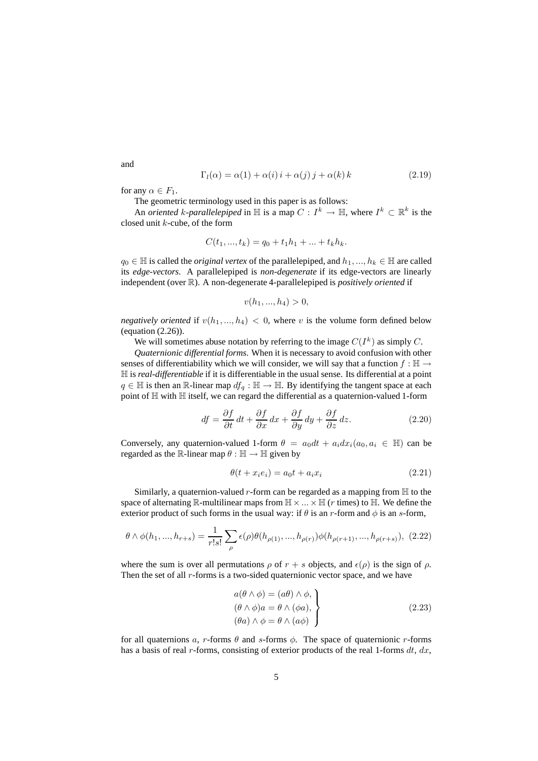$$
\Gamma_l(\alpha) = \alpha(1) + \alpha(i)i + \alpha(j)j + \alpha(k)k \qquad (2.19)
$$

for any  $\alpha \in F_1$ .

The geometric terminology used in this paper is as follows:

An *oriented* k-parallelepiped in  $\mathbb{H}$  is a map  $C: I^k \to \mathbb{H}$ , where  $I^k \subset \mathbb{R}^k$  is the closed unit k-cube, of the form

$$
C(t_1, ..., t_k) = q_0 + t_1 h_1 + ... + t_k h_k.
$$

 $q_0 \in \mathbb{H}$  is called the *original vertex* of the parallelepiped, and  $h_1, ..., h_k \in \mathbb{H}$  are called its *edge-vectors*. A parallelepiped is *non-degenerate* if its edge-vectors are linearly independent (over R). A non-degenerate 4-parallelepiped is *positively oriented* if

$$
v(h_1, ..., h_4) > 0,
$$

*negatively oriented* if  $v(h_1, ..., h_4) < 0$ , where v is the volume form defined below (equation (2.26)).

We will sometimes abuse notation by referring to the image  $C(I^k)$  as simply C.

*Quaternionic differential forms*. When it is necessary to avoid confusion with other senses of differentiability which we will consider, we will say that a function  $f : \mathbb{H} \to$ H is *real-differentiable* if it is differentiable in the usual sense. Its differential at a point  $q \in \mathbb{H}$  is then an R-linear map  $df_q : \mathbb{H} \to \mathbb{H}$ . By identifying the tangent space at each point of  $H$  with  $H$  itself, we can regard the differential as a quaternion-valued 1-form

$$
df = \frac{\partial f}{\partial t} dt + \frac{\partial f}{\partial x} dx + \frac{\partial f}{\partial y} dy + \frac{\partial f}{\partial z} dz.
$$
 (2.20)

Conversely, any quaternion-valued 1-form  $\theta = a_0 dt + a_i dx_i (a_0, a_i \in \mathbb{H})$  can be regarded as the R-linear map  $\theta : \mathbb{H} \to \mathbb{H}$  given by

$$
\theta(t + x_i e_i) = a_0 t + a_i x_i \tag{2.21}
$$

Similarly, a quaternion-valued r-form can be regarded as a mapping from  $\mathbb H$  to the space of alternating R-multilinear maps from  $\mathbb{H} \times ... \times \mathbb{H}$  (*r* times) to  $\mathbb{H}$ . We define the exterior product of such forms in the usual way: if  $\theta$  is an r-form and  $\phi$  is an s-form,

$$
\theta \wedge \phi(h_1, ..., h_{r+s}) = \frac{1}{r!s!} \sum_{\rho} \epsilon(\rho) \theta(h_{\rho(1)}, ..., h_{\rho(r)}) \phi(h_{\rho(r+1)}, ..., h_{\rho(r+s)}), \tag{2.22}
$$

where the sum is over all permutations  $\rho$  of  $r + s$  objects, and  $\epsilon(\rho)$  is the sign of  $\rho$ . Then the set of all  $r$ -forms is a two-sided quaternionic vector space, and we have

$$
a(\theta \wedge \phi) = (a\theta) \wedge \phi,
$$
  
\n
$$
(\theta \wedge \phi)a = \theta \wedge (\phi a),
$$
  
\n
$$
(\theta a) \wedge \phi = \theta \wedge (a\phi)
$$
\n(2.23)

for all quaternions a, r-forms  $\theta$  and s-forms  $\phi$ . The space of quaternionic r-forms has a basis of real r-forms, consisting of exterior products of the real 1-forms  $dt$ ,  $dx$ ,

and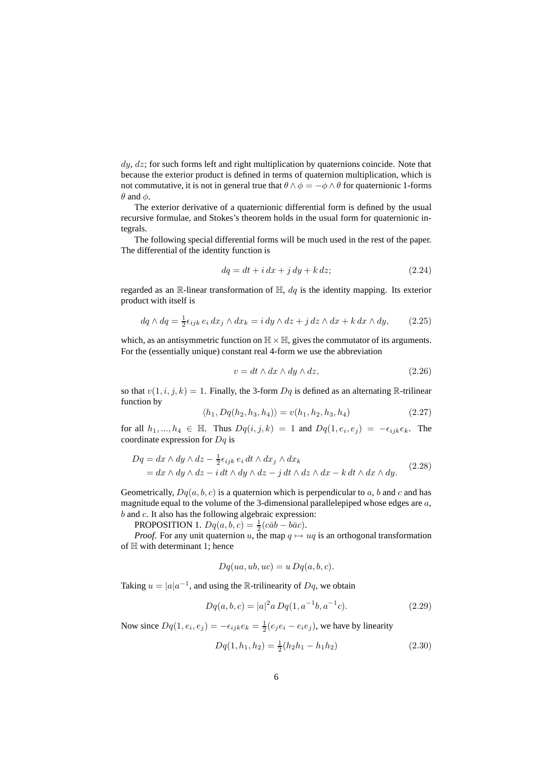$dy, dz$ ; for such forms left and right multiplication by quaternions coincide. Note that because the exterior product is defined in terms of quaternion multiplication, which is not commutative, it is not in general true that  $\theta \wedge \phi = -\phi \wedge \theta$  for quaternionic 1-forms  $\theta$  and  $\phi$ .

The exterior derivative of a quaternionic differential form is defined by the usual recursive formulae, and Stokes's theorem holds in the usual form for quaternionic integrals.

The following special differential forms will be much used in the rest of the paper. The differential of the identity function is

$$
dq = dt + i dx + j dy + k dz;
$$
\n(2.24)

regarded as an R-linear transformation of  $H$ ,  $dq$  is the identity mapping. Its exterior product with itself is

$$
dq \wedge dq = \frac{1}{2} \epsilon_{ijk} \, e_i \, dx_j \wedge dx_k = i \, dy \wedge dz + j \, dz \wedge dx + k \, dx \wedge dy, \tag{2.25}
$$

which, as an antisymmetric function on  $\mathbb{H} \times \mathbb{H}$ , gives the commutator of its arguments. For the (essentially unique) constant real 4-form we use the abbreviation

$$
v = dt \wedge dx \wedge dy \wedge dz, \tag{2.26}
$$

so that  $v(1,i,j,k) = 1$ . Finally, the 3-form  $Dq$  is defined as an alternating R-trilinear function by

$$
\langle h_1, Dq(h_2, h_3, h_4) \rangle = v(h_1, h_2, h_3, h_4)
$$
\n(2.27)

for all  $h_1, ..., h_4 \in \mathbb{H}$ . Thus  $Dq(i, j, k) = 1$  and  $Dq(1, e_i, e_j) = -\epsilon_{ijk}e_k$ . The coordinate expression for  $Dq$  is

$$
Dq = dx \wedge dy \wedge dz - \frac{1}{2} \epsilon_{ijk} \epsilon_i dt \wedge dx_j \wedge dx_k
$$
  
= dx \wedge dy \wedge dz - i dt \wedge dy \wedge dz - j dt \wedge dz \wedge dx - k dt \wedge dx \wedge dy. (2.28)

Geometrically,  $Dq(a, b, c)$  is a quaternion which is perpendicular to a, b and c and has magnitude equal to the volume of the 3-dimensional parallelepiped whose edges are  $a$ , b and c. It also has the following algebraic expression:

**PROPOSITION** 1.  $Dq(a, b, c) = \frac{1}{2}(c\bar{a}b - b\bar{a}c)$ .

*Proof.* For any unit quaternion u, the map  $q \mapsto uq$  is an orthogonal transformation of H with determinant 1; hence

$$
Dq(ua, ub, uc) = u Dq(a, b, c).
$$

Taking  $u = |a|a^{-1}$ , and using the R-trilinearity of  $Dq$ , we obtain

$$
Dq(a, b, c) = |a|^2 a Dq(1, a^{-1}b, a^{-1}c). \tag{2.29}
$$

Now since  $Dq(1, e_i, e_j) = -\epsilon_{ijk}e_k = \frac{1}{2}(e_j e_i - e_i e_j)$ , we have by linearity

$$
Dq(1, h_1, h_2) = \frac{1}{2}(h_2h_1 - h_1h_2)
$$
\n(2.30)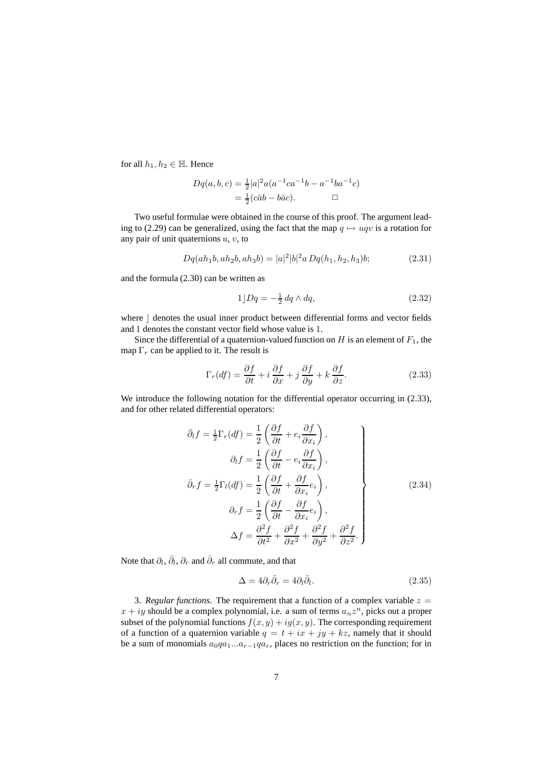for all  $h_1, h_2 \in \mathbb{H}$ . Hence

$$
Dq(a, b, c) = \frac{1}{2}|a|^2 a(a^{-1}ca^{-1}b - a^{-1}ba^{-1}c)
$$
  
=  $\frac{1}{2}(c\bar{a}b - b\bar{a}c).$ 

Two useful formulae were obtained in the course of this proof. The argument leading to (2.29) can be generalized, using the fact that the map  $q \mapsto uqv$  is a rotation for any pair of unit quaternions  $u, v$ , to

$$
Dq(ah_1b, ah_2b, ah_3b) = |a|^2|b|^2a Dq(h_1, h_2, h_3)b;
$$
\n(2.31)

and the formula (2.30) can be written as

$$
1\rfloor Dq = -\frac{1}{2}\,dq \wedge dq,\tag{2.32}
$$

where  $\vert$  denotes the usual inner product between differential forms and vector fields and 1 denotes the constant vector field whose value is 1.

Since the differential of a quaternion-valued function on  $H$  is an element of  $F_1$ , the map  $\Gamma_r$  can be applied to it. The result is

$$
\Gamma_r(df) = \frac{\partial f}{\partial t} + i \frac{\partial f}{\partial x} + j \frac{\partial f}{\partial y} + k \frac{\partial f}{\partial z}.
$$
 (2.33)

We introduce the following notation for the differential operator occurring in  $(2.33)$ , and for other related differential operators:

$$
\bar{\partial}_t f = \frac{1}{2} \Gamma_r (df) = \frac{1}{2} \left( \frac{\partial f}{\partial t} + e_i \frac{\partial f}{\partial x_i} \right),
$$
  
\n
$$
\partial_t f = \frac{1}{2} \left( \frac{\partial f}{\partial t} - e_i \frac{\partial f}{\partial x_i} \right),
$$
  
\n
$$
\bar{\partial}_r f = \frac{1}{2} \Gamma_l (df) = \frac{1}{2} \left( \frac{\partial f}{\partial t} + \frac{\partial f}{\partial x_i} e_i \right),
$$
  
\n
$$
\partial_r f = \frac{1}{2} \left( \frac{\partial f}{\partial t} - \frac{\partial f}{\partial x_i} e_i \right),
$$
  
\n
$$
\Delta f = \frac{\partial^2 f}{\partial t^2} + \frac{\partial^2 f}{\partial x^2} + \frac{\partial^2 f}{\partial y^2} + \frac{\partial^2 f}{\partial z^2}.
$$
\n(2.34)

Note that  $\partial_l, \bar{\partial}_l, \partial_r$  and  $\bar{\partial}_r$  all commute, and that

$$
\Delta = 4\partial_r \bar{\partial}_r = 4\partial_l \bar{\partial}_l. \tag{2.35}
$$

3. *Regular functions*. The requirement that a function of a complex variable  $z =$  $x + iy$  should be a complex polynomial, i.e. a sum of terms  $a_n z^n$ , picks out a proper subset of the polynomial functions  $f(x, y) + ig(x, y)$ . The corresponding requirement of a function of a quaternion variable  $q = t + ix + jy + kz$ , namely that it should be a sum of monomials  $a_0qa_1...a_{r-1}qa_r$ , places no restriction on the function; for in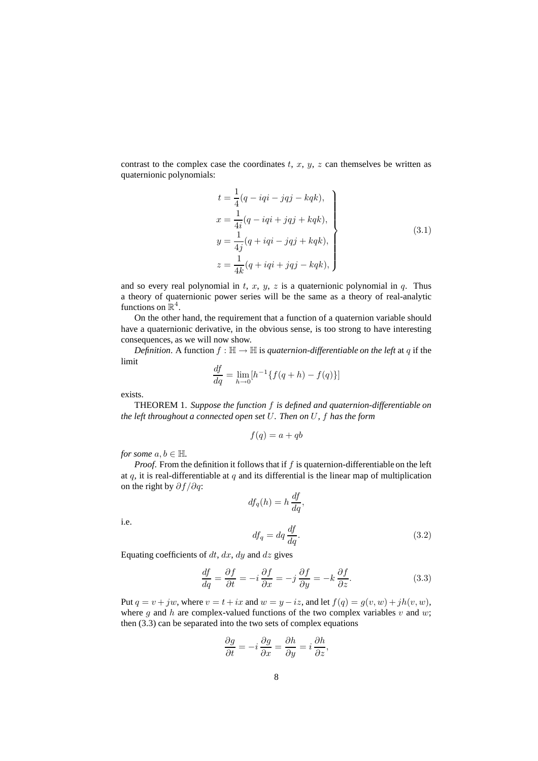contrast to the complex case the coordinates  $t, x, y, z$  can themselves be written as quaternionic polynomials:

$$
t = \frac{1}{4}(q - iqi - jqj - kqk),
$$
  
\n
$$
x = \frac{1}{4i}(q - iqi + jqj + kqk),
$$
  
\n
$$
y = \frac{1}{4j}(q + iqi - jqj + kqk),
$$
  
\n
$$
z = \frac{1}{4k}(q + iqi + jqj - kqk),
$$
\n(3.1)

and so every real polynomial in t, x, y, z is a quaternionic polynomial in q. Thus a theory of quaternionic power series will be the same as a theory of real-analytic functions on  $\mathbb{R}^4$ .

On the other hand, the requirement that a function of a quaternion variable should have a quaternionic derivative, in the obvious sense, is too strong to have interesting consequences, as we will now show.

*Definition.* A function  $f : \mathbb{H} \to \mathbb{H}$  is *quaternion-differentiable on the left* at q if the limit

$$
\frac{df}{dq} = \lim_{h \to 0} [h^{-1} \{ f(q+h) - f(q) \}]
$$

exists.

i.e.

THEOREM 1. *Suppose the function* f *is defined and quaternion-differentiable on the left throughout a connected open set* U*. Then on* U*,* f *has the form*

$$
f(q) = a + qb
$$

*for some*  $a, b \in \mathbb{H}$ *.* 

*Proof.* From the definition it follows that if  $f$  is quaternion-differentiable on the left at  $q$ , it is real-differentiable at  $q$  and its differential is the linear map of multiplication on the right by  $\partial f / \partial q$ :

$$
df_q(h) = h \frac{df}{dq},
$$
  

$$
df_q = dq \frac{df}{dq}.
$$
 (3.2)

Equating coefficients of  $dt$ ,  $dx$ ,  $dy$  and  $dz$  gives

$$
\frac{df}{dq} = \frac{\partial f}{\partial t} = -i \frac{\partial f}{\partial x} = -j \frac{\partial f}{\partial y} = -k \frac{\partial f}{\partial z}.
$$
 (3.3)

Put  $q = v + jw$ , where  $v = t + ix$  and  $w = y - iz$ , and let  $f(q) = g(v, w) + jh(v, w)$ , where g and h are complex-valued functions of the two complex variables v and w; then (3.3) can be separated into the two sets of complex equations

$$
\frac{\partial g}{\partial t} = -i \frac{\partial g}{\partial x} = \frac{\partial h}{\partial y} = i \frac{\partial h}{\partial z},
$$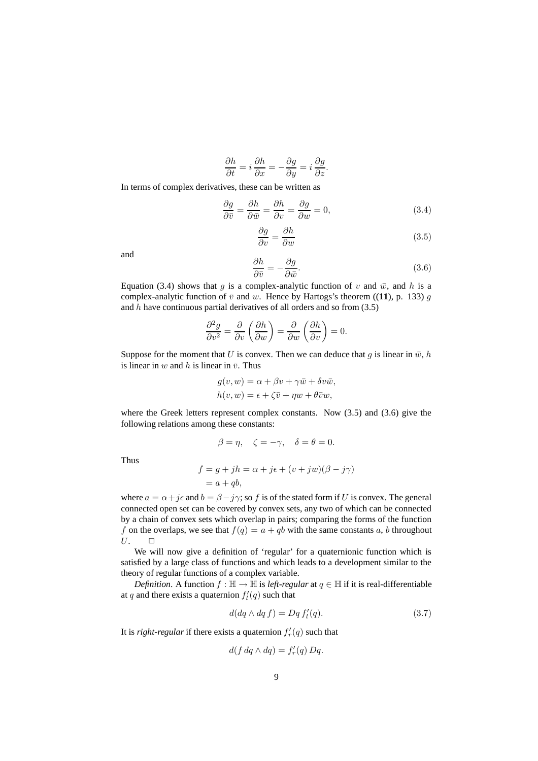$$
\frac{\partial h}{\partial t} = i \frac{\partial h}{\partial x} = -\frac{\partial g}{\partial y} = i \frac{\partial g}{\partial z}.
$$

In terms of complex derivatives, these can be written as

$$
\frac{\partial g}{\partial \bar{v}} = \frac{\partial h}{\partial \bar{w}} = \frac{\partial h}{\partial v} = \frac{\partial g}{\partial w} = 0,
$$
\n(3.4)

$$
\frac{\partial g}{\partial v} = \frac{\partial h}{\partial w} \tag{3.5}
$$

and

$$
\frac{\partial h}{\partial \bar{v}} = -\frac{\partial g}{\partial \bar{w}}.\tag{3.6}
$$

Equation (3.4) shows that g is a complex-analytic function of v and  $\bar{w}$ , and h is a complex-analytic function of  $\bar{v}$  and w. Hence by Hartogs's theorem ((11), p. 133) g and  $h$  have continuous partial derivatives of all orders and so from  $(3.5)$ 

$$
\frac{\partial^2 g}{\partial v^2} = \frac{\partial}{\partial v} \left( \frac{\partial h}{\partial w} \right) = \frac{\partial}{\partial w} \left( \frac{\partial h}{\partial v} \right) = 0.
$$

Suppose for the moment that U is convex. Then we can deduce that g is linear in  $\bar{w}$ , h is linear in w and h is linear in  $\bar{v}$ . Thus

$$
g(v, w) = \alpha + \beta v + \gamma \bar{w} + \delta v \bar{w},
$$
  

$$
h(v, w) = \epsilon + \zeta \bar{v} + \eta w + \theta \bar{v} w,
$$

where the Greek letters represent complex constants. Now (3.5) and (3.6) give the following relations among these constants:

$$
\beta = \eta, \quad \zeta = -\gamma, \quad \delta = \theta = 0.
$$

Thus

$$
f = g + jh = \alpha + j\epsilon + (v + jw)(\beta - j\gamma)
$$
  
= a + qb,

where  $a = \alpha + j\epsilon$  and  $b = \beta - j\gamma$ ; so f is of the stated form if U is convex. The general connected open set can be covered by convex sets, any two of which can be connected by a chain of convex sets which overlap in pairs; comparing the forms of the function f on the overlaps, we see that  $f(q) = a + qb$  with the same constants a, b throughout  $U.$   $\Box$ 

We will now give a definition of 'regular' for a quaternionic function which is satisfied by a large class of functions and which leads to a development similar to the theory of regular functions of a complex variable.

*Definition*. A function  $f : \mathbb{H} \to \mathbb{H}$  is *left-regular* at  $q \in \mathbb{H}$  if it is real-differentiable at q and there exists a quaternion  $f_l'(q)$  such that

$$
d(dq \wedge dq f) = Dq f'_{l}(q). \qquad (3.7)
$$

It is *right-regular* if there exists a quaternion  $f'_r(q)$  such that

$$
d(f dq \wedge dq) = f'_r(q) Dq.
$$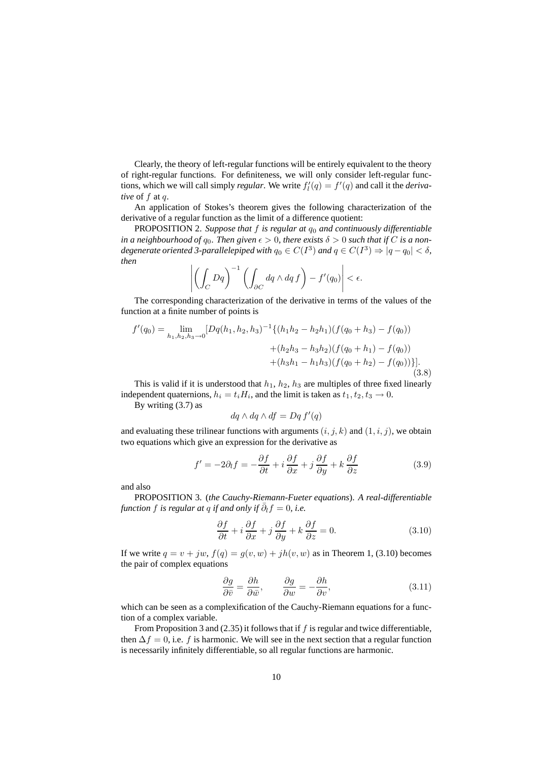Clearly, the theory of left-regular functions will be entirely equivalent to the theory of right-regular functions. For definiteness, we will only consider left-regular functions, which we will call simply *regular*. We write  $f_l'(q) = f'(q)$  and call it the *derivative* of f at q.

An application of Stokes's theorem gives the following characterization of the derivative of a regular function as the limit of a difference quotient:

PROPOSITION 2. *Suppose that* f *is regular at* q<sup>0</sup> *and continuously differentiable in a neighbourhood of*  $q_0$ *. Then given*  $\epsilon > 0$ *, there exists*  $\delta > 0$  *such that if* C *is a nondegenerate oriented* 3-parallelepiped with  $q_0 \in C(I^3)$  and  $q \in C(I^3) \Rightarrow |q - q_0| < \delta$ , *then*

$$
\left| \left( \int_C Dq \right)^{-1} \left( \int_{\partial C} dq \wedge dq \, f \right) - f'(q_0) \right| < \epsilon.
$$

The corresponding characterization of the derivative in terms of the values of the function at a finite number of points is

$$
f'(q_0) = \lim_{h_1, h_2, h_3 \to 0} [Dq(h_1, h_2, h_3)^{-1} \{ (h_1h_2 - h_2h_1) (f(q_0 + h_3) - f(q_0))
$$
  
 
$$
+ (h_2h_3 - h_3h_2) (f(q_0 + h_1) - f(q_0))
$$
  
 
$$
+ (h_3h_1 - h_1h_3) (f(q_0 + h_2) - f(q_0)) \}].
$$
  
(3.8)

This is valid if it is understood that  $h_1$ ,  $h_2$ ,  $h_3$  are multiples of three fixed linearly independent quaternions,  $h_i = t_i H_i$ , and the limit is taken as  $t_1, t_2, t_3 \rightarrow 0$ .

By writing (3.7) as

$$
dq \wedge dq \wedge df = Dq f'(q)
$$

and evaluating these trilinear functions with arguments  $(i, j, k)$  and  $(1, i, j)$ , we obtain two equations which give an expression for the derivative as

$$
f' = -2\partial_t f = -\frac{\partial f}{\partial t} + i\frac{\partial f}{\partial x} + j\frac{\partial f}{\partial y} + k\frac{\partial f}{\partial z}
$$
(3.9)

and also

PROPOSITION 3. (*the Cauchy-Riemann-Fueter equations*). *A real-differentiable function f is regular at q if and only if*  $\overline{\partial}_l f = 0$ *, i.e.* 

$$
\frac{\partial f}{\partial t} + i \frac{\partial f}{\partial x} + j \frac{\partial f}{\partial y} + k \frac{\partial f}{\partial z} = 0.
$$
 (3.10)

If we write  $q = v + jw$ ,  $f(q) = g(v, w) + jh(v, w)$  as in Theorem 1, (3.10) becomes the pair of complex equations

$$
\frac{\partial g}{\partial \bar{v}} = \frac{\partial h}{\partial \bar{w}}, \qquad \frac{\partial g}{\partial w} = -\frac{\partial h}{\partial v}, \tag{3.11}
$$

which can be seen as a complexification of the Cauchy-Riemann equations for a function of a complex variable.

From Proposition 3 and (2.35) it follows that if f is regular and twice differentiable, then  $\Delta f = 0$ , i.e. f is harmonic. We will see in the next section that a regular function is necessarily infinitely differentiable, so all regular functions are harmonic.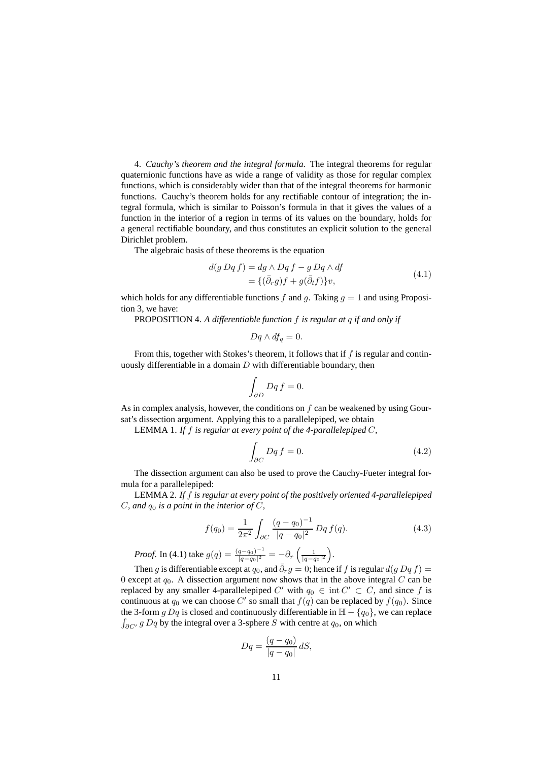4. *Cauchy's theorem and the integral formula*. The integral theorems for regular quaternionic functions have as wide a range of validity as those for regular complex functions, which is considerably wider than that of the integral theorems for harmonic functions. Cauchy's theorem holds for any rectifiable contour of integration; the integral formula, which is similar to Poisson's formula in that it gives the values of a function in the interior of a region in terms of its values on the boundary, holds for a general rectifiable boundary, and thus constitutes an explicit solution to the general Dirichlet problem.

The algebraic basis of these theorems is the equation

$$
d(g Dq f) = dg \wedge Dq f - g Dq \wedge df
$$
  
= {( $\bar{\partial}_r g$ )f +  $g(\bar{\partial}_l f$ )}v, (4.1)

which holds for any differentiable functions f and g. Taking  $q = 1$  and using Proposition 3, we have:

PROPOSITION 4. *A differentiable function* f *is regular at* q *if and only if*

$$
Dq \wedge df_q = 0.
$$

From this, together with Stokes's theorem, it follows that if  $f$  is regular and continuously differentiable in a domain  $D$  with differentiable boundary, then

$$
\int_{\partial D} Dq f = 0.
$$

As in complex analysis, however, the conditions on  $f$  can be weakened by using Goursat's dissection argument. Applying this to a parallelepiped, we obtain

LEMMA 1. *If* f *is regular at every point of the 4-parallelepiped* C*,*

$$
\int_{\partial C} Dq f = 0. \tag{4.2}
$$

The dissection argument can also be used to prove the Cauchy-Fueter integral formula for a parallelepiped:

LEMMA 2. *If* f *is regular at every point of the positively oriented 4-parallelepiped*  $C$ *, and*  $q_0$  *is a point in the interior of*  $C$ *,* 

$$
f(q_0) = \frac{1}{2\pi^2} \int_{\partial C} \frac{(q - q_0)^{-1}}{|q - q_0|^2} Dq f(q).
$$
 (4.3)

*Proof.* In (4.1) take  $g(q) = \frac{(q-q_0)^{-1}}{|q-q_0|^2}$  $\frac{q-q_0)^{-1}}{|q-q_0|^2} = -\partial_r \left( \frac{1}{|q-q_0|^2} \right) .$ 

Then g is differentiable except at  $q_0$ , and  $\bar{\partial}_r q = 0$ ; hence if f is regular  $d(q Dq f) =$ 0 except at  $q_0$ . A dissection argument now shows that in the above integral C can be replaced by any smaller 4-parallelepiped  $C'$  with  $q_0 \in \text{int } C' \subset C$ , and since f is continuous at  $q_0$  we can choose C' so small that  $f(q)$  can be replaced by  $f(q_0)$ . Since the 3-form g Dq is closed and continuously differentiable in  $H - \{q_0\}$ , we can replace  $\int_{\partial C'} g Dq$  by the integral over a 3-sphere S with centre at  $q_0$ , on which

$$
Dq = \frac{(q - q_0)}{|q - q_0|} dS,
$$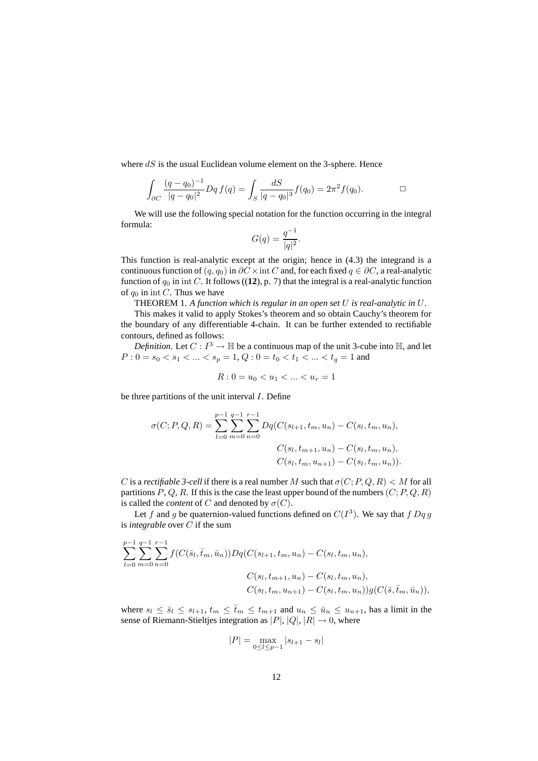where  $dS$  is the usual Euclidean volume element on the 3-sphere. Hence

$$
\int_{\partial C} \frac{(q - q_0)^{-1}}{|q - q_0|^2} Dq f(q) = \int_S \frac{dS}{|q - q_0|^3} f(q_0) = 2\pi^2 f(q_0).
$$

We will use the following special notation for the function occurring in the integral formula:

$$
G(q) = \frac{q^{-1}}{|q|^2}.
$$

This function is real-analytic except at the origin; hence in (4.3) the integrand is a continuous function of  $(q, q_0)$  in  $\partial C \times \text{int } C$  and, for each fixed  $q \in \partial C$ , a real-analytic function of  $q_0$  in int C. It follows ((12), p. 7) that the integral is a real-analytic function of  $q_0$  in int C. Thus we have

THEOREM 1. *A function which is regular in an open set* U *is real-analytic in* U*.*

This makes it valid to apply Stokes's theorem and so obtain Cauchy's theorem for the boundary of any differentiable 4-chain. It can be further extended to rectifiable contours, defined as follows:

*Definition*. Let  $C: I^3 \to \mathbb{H}$  be a continuous map of the unit 3-cube into  $\mathbb{H}$ , and let  $P: 0 = s_0 < s_1 < ... < s_p = 1, Q: 0 = t_0 < t_1 < ... < t_q = 1$  and

$$
R: 0 = u_0 < u_1 < \dots < u_r = 1
$$

be three partitions of the unit interval I. Define

$$
\sigma(C; P, Q, R) = \sum_{l=0}^{p-1} \sum_{m=0}^{q-1} \sum_{n=0}^{r-1} Dq(C(s_{l+1}, t_m, u_n) - C(s_l, t_m, u_n)),
$$
  

$$
C(s_l, t_{m+1}, u_n) - C(s_l, t_m, u_n),
$$
  

$$
C(s_l, t_m, u_{n+1}) - C(s_l, t_m, u_n)).
$$

C is a *rectifiable* 3-cell if there is a real number M such that  $\sigma(C; P, Q, R) < M$  for all partitions  $P, Q, R$ . If this is the case the least upper bound of the numbers  $(C; P, Q, R)$ is called the *content* of C and denoted by  $\sigma(C)$ .

Let f and g be quaternion-valued functions defined on  $C(I^3)$ . We say that f Dq g is *integrable* over C if the sum

$$
\sum_{l=0}^{p-1} \sum_{m=0}^{q-1} \sum_{n=0}^{r-1} f(C(\bar{s}_l, \bar{t}_m, \bar{u}_n)) Dq(C(s_{l+1}, t_m, u_n) - C(s_l, t_m, u_n),
$$
  

$$
C(s_l, t_{m+1}, u_n) - C(s_l, t_m, u_n),
$$
  

$$
C(s_l, t_m, u_{n+1}) - C(s_l, t_m, u_n)) g(C(\bar{s}, \bar{t}_m, \bar{u}_n)),
$$

where  $s_l \le \bar{s}_l \le s_{l+1}$ ,  $t_m \le \bar{t}_m \le t_{m+1}$  and  $u_n \le \bar{u}_n \le u_{n+1}$ , has a limit in the sense of Riemann-Stieltjes integration as  $|P|, |Q|, |R| \rightarrow 0$ , where

$$
|P| = \max_{0 \le l \le p-1} |s_{l+1} - s_l|
$$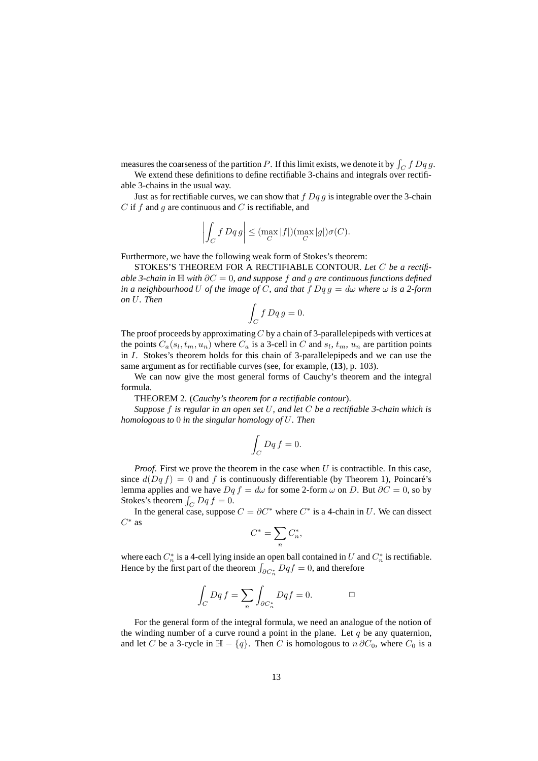measures the coarseness of the partition P. If this limit exists, we denote it by  $\int_C f Dq g$ .

We extend these definitions to define rectifiable 3-chains and integrals over rectifiable 3-chains in the usual way.

Just as for rectifiable curves, we can show that  $f Dq q$  is integrable over the 3-chain  $C$  if  $f$  and  $g$  are continuous and  $C$  is rectifiable, and

$$
\left| \int_C f Dq g \right| \leq (\max_C |f|)(\max_C |g|) \sigma(C).
$$

Furthermore, we have the following weak form of Stokes's theorem:

STOKES'S THEOREM FOR A RECTIFIABLE CONTOUR. *Let* C *be a rectifiable* 3-chain in  $\mathbb{H}$  with ∂C = 0, and suppose f and g are continuous functions defined *in a neighbourhood* U *of the image of* C, *and that*  $f$   $Dq$  $g = d\omega$  *where*  $\omega$  *is a* 2-form *on* U*. Then*

$$
\int_C f Dq g = 0.
$$

The proof proceeds by approximating  $C$  by a chain of 3-parallelepipeds with vertices at the points  $C_a(s_l, t_m, u_n)$  where  $C_a$  is a 3-cell in C and  $s_l, t_m, u_n$  are partition points in I. Stokes's theorem holds for this chain of 3-parallelepipeds and we can use the same argument as for rectifiable curves (see, for example, (**13**), p. 103).

We can now give the most general forms of Cauchy's theorem and the integral formula.

THEOREM 2. (*Cauchy's theorem for a rectifiable contour*).

*Suppose* f *is regular in an open set* U*, and let* C *be a rectifiable 3-chain which is homologous to* 0 *in the singular homology of* U*. Then*

$$
\int_C Dq f = 0.
$$

*Proof.* First we prove the theorem in the case when U is contractible. In this case, since  $d(Dq f) = 0$  and f is continuously differentiable (by Theorem 1), Poincaré's lemma applies and we have  $Dq f = d\omega$  for some 2-form  $\omega$  on D. But  $\partial C = 0$ , so by Stokes's theorem  $\int_C Dq f = 0$ .

In the general case, suppose  $C = \partial C^*$  where  $C^*$  is a 4-chain in U. We can dissect  $C^*$  as

$$
C^*=\sum_n C_n^*,
$$

where each  $C_n^*$  is a 4-cell lying inside an open ball contained in U and  $C_n^*$  is rectifiable. Hence by the first part of the theorem  $\int_{\partial C_{n}^*} Dqf = 0$ , and therefore

$$
\int_C Dq f = \sum_n \int_{\partial C_n^*} Dq f = 0. \qquad \qquad \Box
$$

For the general form of the integral formula, we need an analogue of the notion of the winding number of a curve round a point in the plane. Let  $q$  be any quaternion, and let C be a 3-cycle in  $\mathbb{H} - \{q\}$ . Then C is homologous to  $n \partial C_0$ , where  $C_0$  is a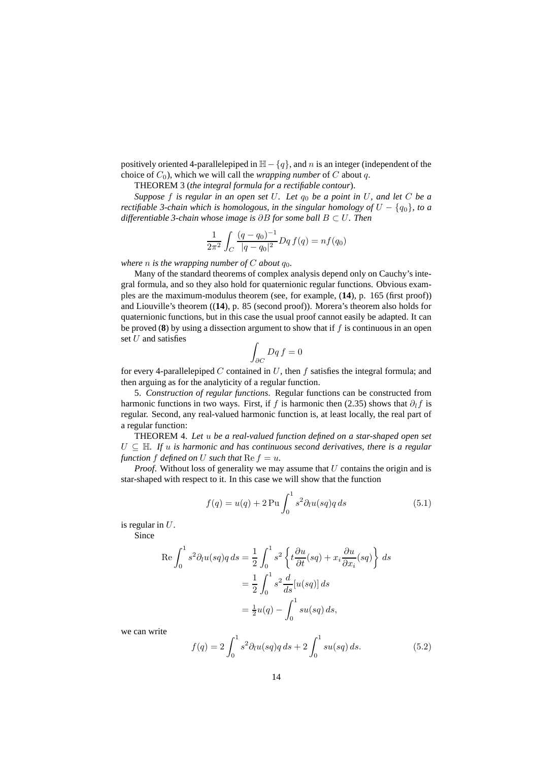positively oriented 4-parallelepiped in  $H - {q}$ , and n is an integer (independent of the choice of  $C_0$ ), which we will call the *wrapping number* of C about q.

THEOREM 3 (*the integral formula for a rectifiable contour*).

*Suppose* f *is regular in an open set* U*. Let* q<sup>0</sup> *be a point in* U*, and let* C *be a rectifiable* 3-chain *which* is *homologous,* in the *singular homology of*  $U - \{q_0\}$ , *to a differentiable 3-chain whose image is* ∂B *for some ball* B ⊂ U*. Then*

$$
\frac{1}{2\pi^2} \int_C \frac{(q - q_0)^{-1}}{|q - q_0|^2} Dq f(q) = n f(q_0)
$$

*where n is the wrapping number of C about*  $q_0$ *.* 

Many of the standard theorems of complex analysis depend only on Cauchy's integral formula, and so they also hold for quaternionic regular functions. Obvious examples are the maximum-modulus theorem (see, for example, (**14**), p. 165 (first proof)) and Liouville's theorem ((**14**), p. 85 (second proof)). Morera's theorem also holds for quaternionic functions, but in this case the usual proof cannot easily be adapted. It can be proved  $(8)$  by using a dissection argument to show that if f is continuous in an open set  $U$  and satisfies

$$
\int_{\partial C} Dq f = 0
$$

for every 4-parallelepiped  $C$  contained in  $U$ , then  $f$  satisfies the integral formula; and then arguing as for the analyticity of a regular function.

5. *Construction of regular functions*. Regular functions can be constructed from harmonic functions in two ways. First, if f is harmonic then (2.35) shows that  $\partial_l f$  is regular. Second, any real-valued harmonic function is, at least locally, the real part of a regular function:

THEOREM 4. *Let* u *be a real-valued function defined on a star-shaped open set*  $U \subseteq \mathbb{H}$ . If u is harmonic and has continuous second derivatives, there is a regular *function*  $f$  *defined on*  $U$  *such that*  $\text{Re } f = u$ *.* 

*Proof.* Without loss of generality we may assume that U contains the origin and is star-shaped with respect to it. In this case we will show that the function

$$
f(q) = u(q) + 2\operatorname{Pu} \int_0^1 s^2 \partial_l u(sq) q ds \tag{5.1}
$$

is regular in  $U$ .

Since

$$
\operatorname{Re} \int_0^1 s^2 \partial_l u(sq) q \, ds = \frac{1}{2} \int_0^1 s^2 \left\{ t \frac{\partial u}{\partial t}(sq) + x_i \frac{\partial u}{\partial x_i}(sq) \right\} ds
$$
  

$$
= \frac{1}{2} \int_0^1 s^2 \frac{d}{ds} [u(sq)] \, ds
$$
  

$$
= \frac{1}{2} u(q) - \int_0^1 su(sq) \, ds,
$$

we can write

$$
f(q) = 2 \int_0^1 s^2 \partial_l u(sq) q \, ds + 2 \int_0^1 su(sq) \, ds. \tag{5.2}
$$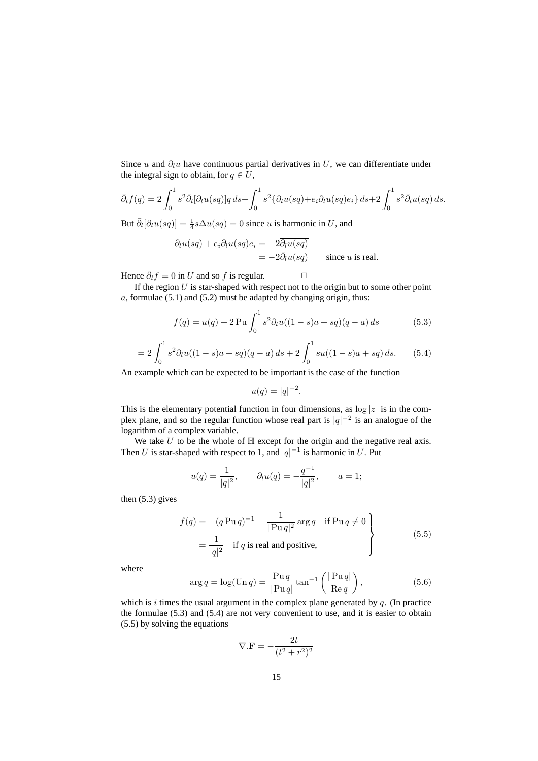Since u and  $\partial_l u$  have continuous partial derivatives in U, we can differentiate under the integral sign to obtain, for  $q \in U$ ,

$$
\bar{\partial}_l f(q) = 2 \int_0^1 s^2 \bar{\partial}_l [\partial_l u(sq)] q \, ds + \int_0^1 s^2 \{ \partial_l u(sq) + e_i \partial_l u(sq) e_i \} \, ds + 2 \int_0^1 s^2 \bar{\partial}_l u(sq) \, ds.
$$

But  $\bar{\partial}_l[\partial_l u(sq)] = \frac{1}{4}s\Delta u(sq) = 0$  since u is harmonic in U, and

$$
\partial_l u(sq) + e_i \partial_l u(sq) e_i = -2 \overline{\partial_l u(sq)}
$$
  
= 
$$
-2 \overline{\partial_l u(sq)}
$$
 since *u* is real.

Hence  $\bar{\partial}_l f = 0$  in U and so f is regular.  $\Box$ 

If the region  $U$  is star-shaped with respect not to the origin but to some other point  $a$ , formulae (5.1) and (5.2) must be adapted by changing origin, thus:

$$
f(q) = u(q) + 2 \operatorname{Pu} \int_0^1 s^2 \partial_l u((1 - s)a + sq)(q - a) ds \tag{5.3}
$$

.

$$
=2\int_0^1 s^2 \partial_t u((1-s)a+sq)(q-a) ds + 2\int_0^1 su((1-s)a+sq) ds. \tag{5.4}
$$

An example which can be expected to be important is the case of the function

$$
u(q) = |q|^{-2}
$$

This is the elementary potential function in four dimensions, as  $\log |z|$  is in the complex plane, and so the regular function whose real part is  $|q|^{-2}$  is an analogue of the logarithm of a complex variable.

We take  $U$  to be the whole of  $H$  except for the origin and the negative real axis. Then U is star-shaped with respect to 1, and  $|q|^{-1}$  is harmonic in U. Put

$$
u(q) = \frac{1}{|q|^2}
$$
,  $\partial_l u(q) = -\frac{q^{-1}}{|q|^2}$ ,  $a = 1$ ;

then (5.3) gives

$$
f(q) = -(q \operatorname{Pu} q)^{-1} - \frac{1}{|\operatorname{Pu} q|^2} \operatorname{arg} q \quad \text{if } \operatorname{Pu} q \neq 0
$$
  
= 
$$
\frac{1}{|q|^2} \quad \text{if } q \text{ is real and positive,}
$$
 (5.5)

where

$$
\arg q = \log(\text{Un } q) = \frac{\text{Pu } q}{|\text{Pu } q|} \tan^{-1} \left( \frac{|\text{Pu } q|}{\text{Re } q} \right),\tag{5.6}
$$

which is i times the usual argument in the complex plane generated by  $q$ . (In practice the formulae (5.3) and (5.4) are not very convenient to use, and it is easier to obtain (5.5) by solving the equations

$$
\nabla.\mathbf{F} = -\frac{2t}{(t^2 + r^2)^2}
$$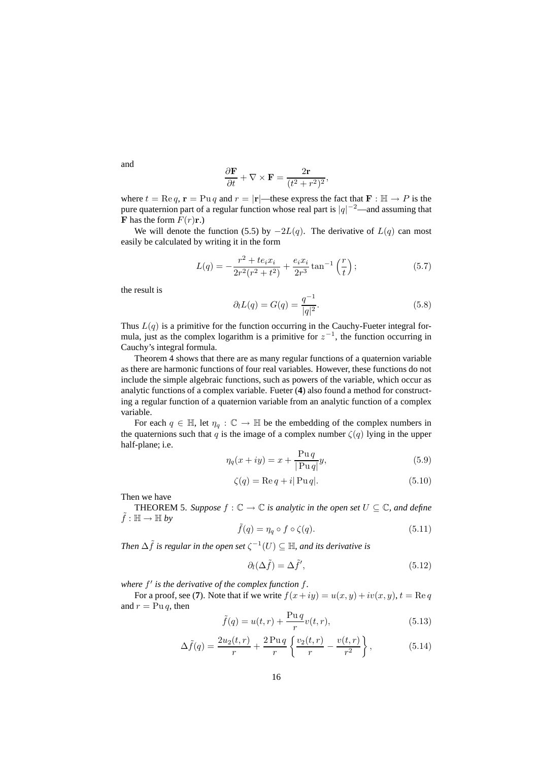$$
\frac{\partial \mathbf{F}}{\partial t} + \nabla \times \mathbf{F} = \frac{2\mathbf{r}}{(t^2 + r^2)^2},
$$

where  $t = \text{Re } q$ ,  $\mathbf{r} = \text{Pu } q$  and  $r = |\mathbf{r}|$ —these express the fact that  $\mathbf{F} : \mathbb{H} \to P$  is the pure quaternion part of a regular function whose real part is  $|q|^{-2}$ —and assuming that **F** has the form  $F(r)$ **r**.)

We will denote the function (5.5) by  $-2L(q)$ . The derivative of  $L(q)$  can most easily be calculated by writing it in the form

$$
L(q) = -\frac{r^2 + te_i x_i}{2r^2(r^2 + t^2)} + \frac{e_i x_i}{2r^3} \tan^{-1}\left(\frac{r}{t}\right);
$$
 (5.7)

the result is

$$
\partial_l L(q) = G(q) = \frac{q^{-1}}{|q|^2}.
$$
\n(5.8)

Thus  $L(q)$  is a primitive for the function occurring in the Cauchy-Fueter integral formula, just as the complex logarithm is a primitive for  $z^{-1}$ , the function occurring in Cauchy's integral formula.

Theorem 4 shows that there are as many regular functions of a quaternion variable as there are harmonic functions of four real variables. However, these functions do not include the simple algebraic functions, such as powers of the variable, which occur as analytic functions of a complex variable. Fueter (**4**) also found a method for constructing a regular function of a quaternion variable from an analytic function of a complex variable.

For each  $q \in \mathbb{H}$ , let  $\eta_q : \mathbb{C} \to \mathbb{H}$  be the embedding of the complex numbers in the quaternions such that q is the image of a complex number  $\zeta(q)$  lying in the upper half-plane; i.e.

$$
\eta_q(x+iy) = x + \frac{\text{Pu } q}{|\text{Pu } q|} y,\tag{5.9}
$$

$$
\zeta(q) = \text{Re}\,q + i|\,\text{Pu}\,q|.\tag{5.10}
$$

Then we have

**THEOREM 5.** Suppose  $f : \mathbb{C} \to \mathbb{C}$  *is analytic in the open set*  $U \subseteq \mathbb{C}$ *, and define*  $\tilde{f} : \mathbb{H} \to \mathbb{H}$  by

$$
\tilde{f}(q) = \eta_q \circ f \circ \zeta(q). \tag{5.11}
$$

*Then*  $\Delta \tilde{f}$  *is regular in the open set*  $\zeta^{-1}(U) \subseteq \mathbb{H}$ *, and its derivative is* 

$$
\partial_l(\Delta \tilde{f}) = \Delta \tilde{f}',\tag{5.12}
$$

*where* f 0 *is the derivative of the complex function* f*.*

For a proof, see (7). Note that if we write  $f(x+iy) = u(x, y) + iv(x, y)$ ,  $t = \text{Re } q$ and  $r = Pu q$ , then

$$
\tilde{f}(q) = u(t, r) + \frac{\text{Pu } q}{r} v(t, r),
$$
\n(5.13)

$$
\Delta \tilde{f}(q) = \frac{2u_2(t, r)}{r} + \frac{2 \operatorname{Pu} q}{r} \left\{ \frac{v_2(t, r)}{r} - \frac{v(t, r)}{r^2} \right\},\tag{5.14}
$$

and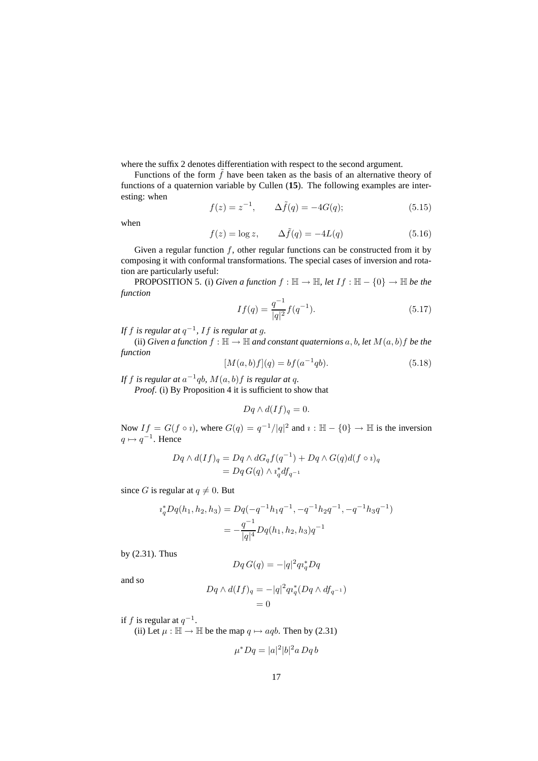where the suffix 2 denotes differentiation with respect to the second argument.

Functions of the form  $\tilde{f}$  have been taken as the basis of an alternative theory of functions of a quaternion variable by Cullen (**15**). The following examples are interesting: when

$$
f(z) = z^{-1}, \qquad \Delta \tilde{f}(q) = -4G(q); \tag{5.15}
$$

when

$$
f(z) = \log z, \qquad \Delta \tilde{f}(q) = -4L(q) \tag{5.16}
$$

Given a regular function  $f$ , other regular functions can be constructed from it by composing it with conformal transformations. The special cases of inversion and rotation are particularly useful:

**PROPOSITION 5.** (i) *Given a function*  $f : \mathbb{H} \to \mathbb{H}$ , let  $If : \mathbb{H} - \{0\} \to \mathbb{H}$  be the *function*

$$
If(q) = \frac{q^{-1}}{|q|^2} f(q^{-1}).
$$
\n(5.17)

*If* f *is regular at* q −1 *,* If *is regular at* g*.*

(ii) *Given a function*  $f : \mathbb{H} \to \mathbb{H}$  *and constant quaternions* a, b, let  $M(a, b)$  *f* be the *function*

$$
[M(a,b)f](q) = bf(a^{-1}qb).
$$
\n(5.18)

If  $f$  is regular at  $a^{-1}qb$ ,  $M(a, b)f$  is regular at  $q$ .

*Proof*. (i) By Proposition 4 it is sufficient to show that

$$
Dq \wedge d(If)_q = 0.
$$

Now  $If = G(f \circ i)$ , where  $G(q) = \frac{q^{-1}}{|q|^2}$  and  $i : \mathbb{H} - \{0\} \to \mathbb{H}$  is the inversion  $q \mapsto q^{-1}$ . Hence

$$
Dq \wedge d(If)_{q} = Dq \wedge dG_q f(q^{-1}) + Dq \wedge G(q) d(f \circ i)_{q}
$$
  
= 
$$
Dq G(q) \wedge i_q^* df_{q^{-1}}
$$

since G is regular at  $q \neq 0$ . But

$$
i_q^* Dq(h_1, h_2, h_3) = Dq(-q^{-1}h_1q^{-1}, -q^{-1}h_2q^{-1}, -q^{-1}h_3q^{-1})
$$
  
= 
$$
-\frac{q^{-1}}{|q|^4} Dq(h_1, h_2, h_3)q^{-1}
$$

by (2.31). Thus

$$
Dq\,G(q)=-|q|^2q\imath_q^*Dq
$$

and so

$$
Dq \wedge d(If)_q = -|q|^2 q i_q^* (Dq \wedge df_{q^{-1}})
$$
  
= 0

if f is regular at  $q^{-1}$ .

(ii) Let  $\mu : \mathbb{H} \to \mathbb{H}$  be the map  $q \mapsto aq_0$ . Then by (2.31)

$$
\mu^* D q = |a|^2 |b|^2 a D q b
$$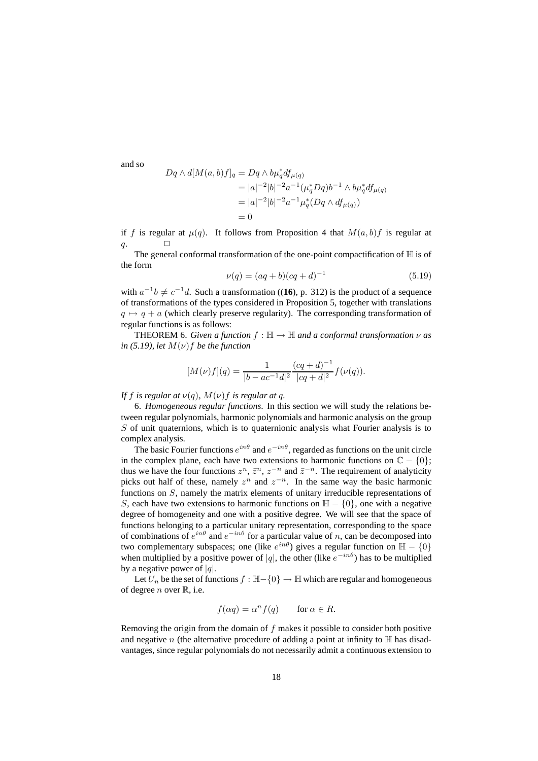and so

$$
Dq \wedge d[M(a,b)f]_q = Dq \wedge b\mu_q^* df_{\mu(q)}
$$
  
=  $|a|^{-2} |b|^{-2} a^{-1} (\mu_q^* Dq) b^{-1} \wedge b\mu_q^* df_{\mu(q)}$   
=  $|a|^{-2} |b|^{-2} a^{-1} \mu_q^* (Dq \wedge df_{\mu(q)})$   
= 0

if f is regular at  $\mu(q)$ . It follows from Proposition 4 that  $M(a, b)f$  is regular at  $q. \Box$ 

The general conformal transformation of the one-point compactification of  $H$  is of the form

$$
\nu(q) = (aq+b)(cq+d)^{-1} \tag{5.19}
$$

with  $a^{-1}b \neq c^{-1}d$ . Such a transformation ((**16**), p. 312) is the product of a sequence of transformations of the types considered in Proposition 5, together with translations  $q \mapsto q + a$  (which clearly preserve regularity). The corresponding transformation of regular functions is as follows:

**THEOREM** 6. *Given a function*  $f : \mathbb{H} \to \mathbb{H}$  *and a conformal transformation*  $\nu$  *as*  $in (5.19)$ , *let*  $M(\nu)$ *f be the function* 

$$
[M(\nu)f](q) = \frac{1}{|b - ac^{-1}d|^2} \frac{(cq + d)^{-1}}{|cq + d|^2} f(\nu(q)).
$$

## *If* f *is regular at*  $\nu(q)$ *,*  $M(\nu)$ *f is regular at q.*

6. *Homogeneous regular functions*. In this section we will study the relations between regular polynomials, harmonic polynomials and harmonic analysis on the group  $S$  of unit quaternions, which is to quaternionic analysis what Fourier analysis is to complex analysis.

The basic Fourier functions  $e^{in\theta}$  and  $e^{-in\theta}$ , regarded as functions on the unit circle in the complex plane, each have two extensions to harmonic functions on  $\mathbb{C} - \{0\}$ ; thus we have the four functions  $z^n$ ,  $\bar{z}^n$ ,  $z^{-n}$  and  $\bar{z}^{-n}$ . The requirement of analyticity picks out half of these, namely  $z^n$  and  $z^{-n}$ . In the same way the basic harmonic functions on S, namely the matrix elements of unitary irreducible representations of S, each have two extensions to harmonic functions on  $H - \{0\}$ , one with a negative degree of homogeneity and one with a positive degree. We will see that the space of functions belonging to a particular unitary representation, corresponding to the space of combinations of  $e^{in\theta}$  and  $e^{-in\theta}$  for a particular value of n, can be decomposed into two complementary subspaces; one (like  $e^{in\theta}$ ) gives a regular function on  $\mathbb{H} - \{0\}$ when multiplied by a positive power of |q|, the other (like  $e^{-in\theta}$ ) has to be multiplied by a negative power of  $|q|$ .

Let  $U_n$  be the set of functions  $f : \mathbb{H} - \{0\} \to \mathbb{H}$  which are regular and homogeneous of degree *n* over  $\mathbb{R}$ , i.e.

$$
f(\alpha q) = \alpha^n f(q) \qquad \text{for } \alpha \in R.
$$

Removing the origin from the domain of f makes it possible to consider both positive and negative n (the alternative procedure of adding a point at infinity to  $\mathbb H$  has disadvantages, since regular polynomials do not necessarily admit a continuous extension to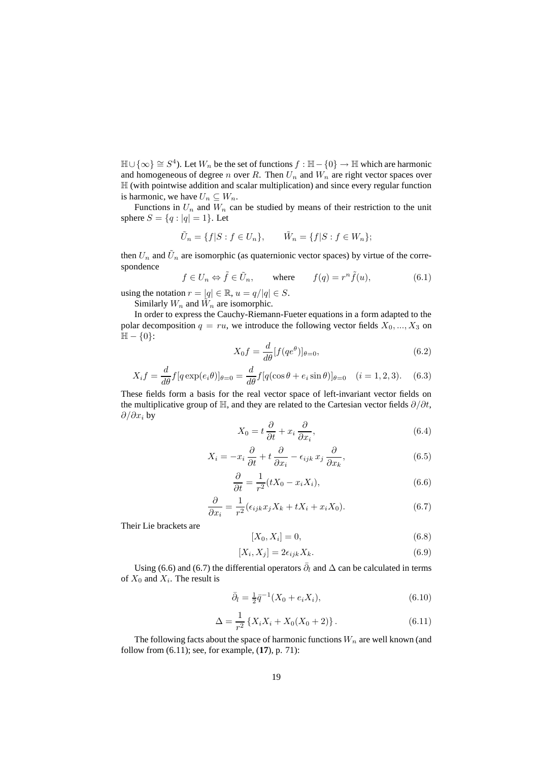$\mathbb{H} \cup \{\infty\} \cong S^4$ ). Let  $W_n$  be the set of functions  $f : \mathbb{H} - \{0\} \to \mathbb{H}$  which are harmonic and homogeneous of degree n over R. Then  $U_n$  and  $W_n$  are right vector spaces over H (with pointwise addition and scalar multiplication) and since every regular function is harmonic, we have  $U_n \subseteq W_n$ .

Functions in  $U_n$  and  $\overline{W}_n$  can be studied by means of their restriction to the unit sphere  $S = \{q : |q| = 1\}$ . Let

$$
\tilde{U}_n = \{f|S : f \in U_n\}, \qquad \tilde{W}_n = \{f|S : f \in W_n\};
$$

then  $U_n$  and  $\tilde{U}_n$  are isomorphic (as quaternionic vector spaces) by virtue of the correspondence

$$
f \in U_n \Leftrightarrow \tilde{f} \in \tilde{U}_n
$$
, where  $f(q) = r^n \tilde{f}(u)$ , (6.1)

using the notation  $r = |q| \in \mathbb{R}$ ,  $u = q/|q| \in S$ .

Similarly  $W_n$  and  $\tilde{W}_n$  are isomorphic.

In order to express the Cauchy-Riemann-Fueter equations in a form adapted to the polar decomposition  $q = ru$ , we introduce the following vector fields  $X_0, ..., X_3$  on  $\mathbb{H} - \{0\}$ :

$$
X_0 f = \frac{d}{d\theta} [f(qe^{\theta})]_{\theta=0},
$$
\n(6.2)

$$
X_i f = \frac{d}{d\theta} f[q \exp(e_i \theta)]_{\theta=0} = \frac{d}{d\theta} f[q(\cos \theta + e_i \sin \theta)]_{\theta=0} \quad (i = 1, 2, 3). \tag{6.3}
$$

These fields form a basis for the real vector space of left-invariant vector fields on the multiplicative group of  $\mathbb{H}$ , and they are related to the Cartesian vector fields  $\partial/\partial t$ ,  $\partial/\partial x_i$  by

$$
X_0 = t \frac{\partial}{\partial t} + x_i \frac{\partial}{\partial x_i},\tag{6.4}
$$

$$
X_i = -x_i \frac{\partial}{\partial t} + t \frac{\partial}{\partial x_i} - \epsilon_{ijk} x_j \frac{\partial}{\partial x_k},
$$
\n(6.5)

$$
\frac{\partial}{\partial t} = \frac{1}{r^2} (tX_0 - x_iX_i),\tag{6.6}
$$

$$
\frac{\partial}{\partial x_i} = \frac{1}{r^2} (\epsilon_{ijk} x_j X_k + t X_i + x_i X_0).
$$
 (6.7)

Their Lie brackets are

$$
[X_0, X_i] = 0,\t(6.8)
$$

$$
[X_i, X_j] = 2\epsilon_{ijk} X_k. \tag{6.9}
$$

Using (6.6) and (6.7) the differential operators  $\bar{\partial}_l$  and  $\Delta$  can be calculated in terms of  $X_0$  and  $X_i$ . The result is

$$
\bar{\partial}_l = \frac{1}{2}\bar{q}^{-1}(X_0 + e_i X_i),\tag{6.10}
$$

$$
\Delta = \frac{1}{r^2} \left\{ X_i X_i + X_0 (X_0 + 2) \right\}.
$$
 (6.11)

The following facts about the space of harmonic functions  $W_n$  are well known (and follow from (6.11); see, for example, (**17**), p. 71):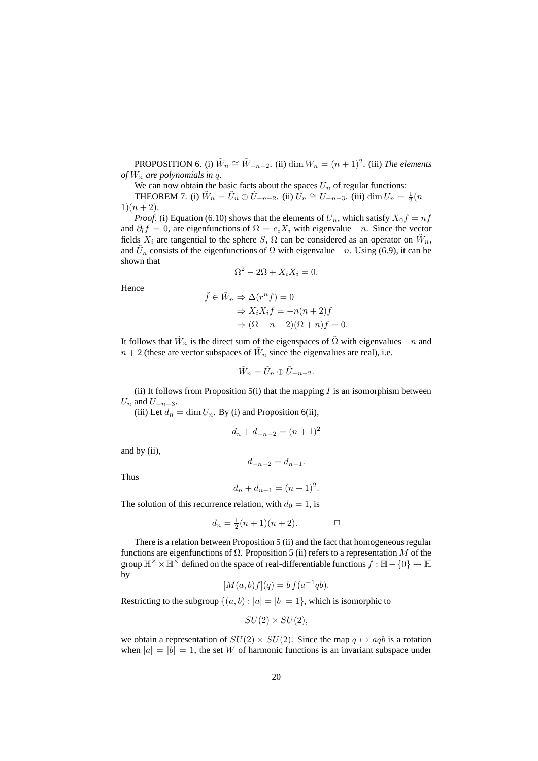**PROPOSITION** 6. (i)  $\tilde{W}_n \cong \tilde{W}_{-n-2}$ . (ii)  $\dim W_n = (n+1)^2$ . (iii) *The elements of*  $W_n$  are polynomials in q.

We can now obtain the basic facts about the spaces  $U_n$  of regular functions:

THEOREM 7. (i)  $\tilde{W}_n = \tilde{U}_n \oplus \tilde{U}_{-n-2}$ . (ii)  $\tilde{U}_n \cong U_{-n-3}$ . (iii)  $\dim U_n = \frac{1}{2}(n +$  $1)(n+2)$ .

*Proof.* (i) Equation (6.10) shows that the elements of  $U_n$ , which satisfy  $X_0 f = nf$ and  $\bar{\partial}_{l}f = 0$ , are eigenfunctions of  $\Omega = e_i X_i$  with eigenvalue  $-n$ . Since the vector fields  $X_i$  are tangential to the sphere S,  $\Omega$  can be considered as an operator on  $\tilde{W}_n$ , and  $\tilde{U}_n$  consists of the eigenfunctions of  $\Omega$  with eigenvalue  $-n$ . Using (6.9), it can be shown that

$$
\Omega^2 - 2\Omega + X_i X_i = 0.
$$

Hence

$$
\tilde{f} \in \tilde{W}_n \Rightarrow \Delta(r^n f) = 0
$$
  
\n
$$
\Rightarrow X_i X_i f = -n(n+2)f
$$
  
\n
$$
\Rightarrow (\Omega - n - 2)(\Omega + n) f = 0.
$$

It follows that  $\tilde{W}_n$  is the direct sum of the eigenspaces of  $\tilde{\Omega}$  with eigenvalues  $-n$  and  $n+2$  (these are vector subspaces of  $\tilde{W}_n$  since the eigenvalues are real), i.e.

$$
\tilde{W}_n = \tilde{U}_n \oplus \tilde{U}_{-n-2}.
$$

(ii) It follows from Proposition  $5(i)$  that the mapping I is an isomorphism between  $U_n$  and  $U_{-n-3}$ .

(iii) Let  $d_n = \dim U_n$ . By (i) and Proposition 6(ii),

$$
d_n + d_{-n-2} = (n+1)^2
$$

and by (ii),

 $d_{-n-2} = d_{n-1}$ .

Thus

$$
d_n + d_{n-1} = (n+1)^2.
$$

The solution of this recurrence relation, with  $d_0 = 1$ , is

$$
d_n = \frac{1}{2}(n+1)(n+2).
$$

There is a relation between Proposition 5 (ii) and the fact that homogeneous regular functions are eigenfunctions of  $\Omega$ . Proposition 5 (ii) refers to a representation M of the group  $\mathbb{H}^\times\times\mathbb{H}^\times$  defined on the space of real-differentiable functions  $f:\mathbb{H}-\{0\}\to\mathbb{H}$ by

$$
[M(a,b)f](q) = b f(a^{-1}qb).
$$

Restricting to the subgroup  $\{(a, b) : |a| = |b| = 1\}$ , which is isomorphic to

$$
SU(2)\times SU(2),
$$

we obtain a representation of  $SU(2) \times SU(2)$ . Since the map  $q \mapsto aq b$  is a rotation when  $|a| = |b| = 1$ , the set W of harmonic functions is an invariant subspace under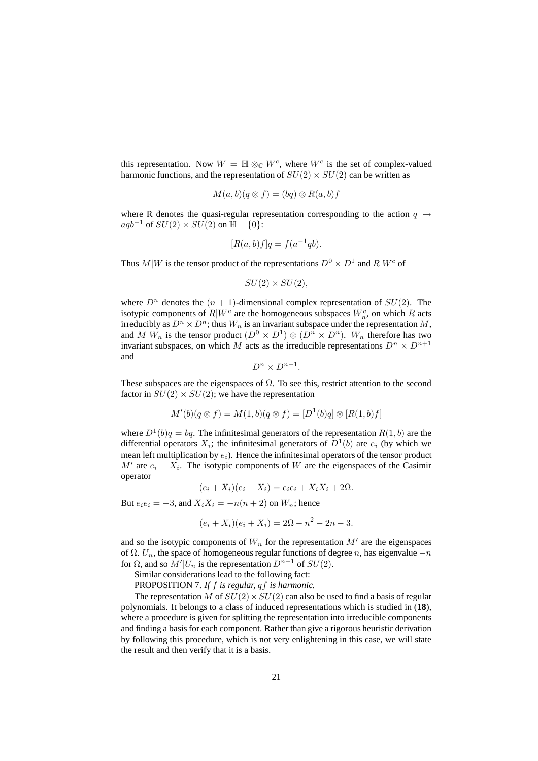this representation. Now  $W = \mathbb{H} \otimes_{\mathbb{C}} W^c$ , where  $W^c$  is the set of complex-valued harmonic functions, and the representation of  $SU(2) \times SU(2)$  can be written as

$$
M(a,b)(q\otimes f)=(bq)\otimes R(a,b)f
$$

where R denotes the quasi-regular representation corresponding to the action  $q \mapsto$  $aqb^{-1}$  of  $SU(2) \times SU(2)$  on  $\mathbb{H} - \{0\}$ :

$$
[R(a,b)f]q = f(a^{-1}qb).
$$

Thus  $M|W$  is the tensor product of the representations  $D^0 \times D^1$  and  $R|W^c$  of

$$
SU(2) \times SU(2),
$$

where  $D^n$  denotes the  $(n + 1)$ -dimensional complex representation of  $SU(2)$ . The isotypic components of  $R|W^c$  are the homogeneous subspaces  $W_n^c$ , on which R acts irreducibly as  $D^n \times D^n$ ; thus  $W_n$  is an invariant subspace under the representation M, and  $M|W_n$  is the tensor product  $(D^0 \times D^1) \otimes (D^n \times D^n)$ .  $W_n$  therefore has two invariant subspaces, on which M acts as the irreducible representations  $D^n \times D^{n+1}$ and

$$
D^n \times D^{n-1}.
$$

These subspaces are the eigenspaces of  $\Omega$ . To see this, restrict attention to the second factor in  $SU(2) \times SU(2)$ ; we have the representation

$$
M'(b)(q\otimes f)=M(1,b)(q\otimes f)=[D^1(b)q]\otimes[R(1,b)f]
$$

where  $D^1(b)q = bq$ . The infinitesimal generators of the representation  $R(1, b)$  are the differential operators  $X_i$ ; the infinitesimal generators of  $D^1(b)$  are  $e_i$  (by which we mean left multiplication by  $e_i$ ). Hence the infinitesimal operators of the tensor product  $M'$  are  $e_i + X_i$ . The isotypic components of W are the eigenspaces of the Casimir operator

$$
(e_i + X_i)(e_i + X_i) = e_i e_i + X_i X_i + 2\Omega.
$$

But  $e_i e_i = -3$ , and  $X_i X_i = -n(n+2)$  on  $W_n$ ; hence

$$
(e_i + X_i)(e_i + X_i) = 2\Omega - n^2 - 2n - 3.
$$

and so the isotypic components of  $W_n$  for the representation  $M'$  are the eigenspaces of  $\Omega$ .  $U_n$ , the space of homogeneous regular functions of degree n, has eigenvalue  $-n$ for  $\Omega$ , and so  $M'|U_n$  is the representation  $D^{n+1}$  of  $SU(2)$ .

Similar considerations lead to the following fact:

PROPOSITION 7. *If* f *is regular,* qf *is harmonic.*

The representation M of  $SU(2) \times SU(2)$  can also be used to find a basis of regular polynomials. It belongs to a class of induced representations which is studied in (**18**), where a procedure is given for splitting the representation into irreducible components and finding a basis for each component. Rather than give a rigorous heuristic derivation by following this procedure, which is not very enlightening in this case, we will state the result and then verify that it is a basis.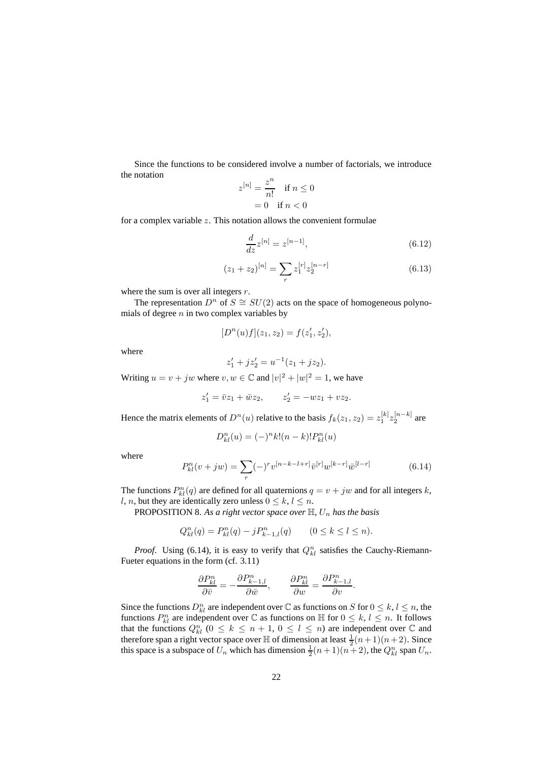Since the functions to be considered involve a number of factorials, we introduce the notation n

$$
z^{[n]} = \frac{z^n}{n!} \text{ if } n \le 0
$$

$$
= 0 \text{ if } n < 0
$$

for a complex variable  $z$ . This notation allows the convenient formulae

$$
\frac{d}{dz}z^{[n]} = z^{[n-1]},\tag{6.12}
$$

$$
(z_1 + z_2)^{[n]} = \sum_r z_1^{[r]} z_2^{[n-r]}
$$
\n(6.13)

where the sum is over all integers  $r$ .

The representation  $D^n$  of  $S \cong SU(2)$  acts on the space of homogeneous polynomials of degree  $n$  in two complex variables by

$$
[Dn(u)f](z_1, z_2) = f(z'_1, z'_2),
$$

where

$$
z_1' + jz_2' = u^{-1}(z_1 + jz_2).
$$

Writing  $u = v + jw$  where  $v, w \in \mathbb{C}$  and  $|v|^2 + |w|^2 = 1$ , we have

$$
z'_1 = \overline{v}z_1 + \overline{w}z_2
$$
,  $z'_2 = -wz_1 + vz_2$ .

Hence the matrix elements of  $D^n(u)$  relative to the basis  $f_k(z_1, z_2) = z_1^{[k]} z_2^{[n-k]}$  are

$$
D_{kl}^{n}(u) = (-)^{n} k! (n - k)! P_{kl}^{n}(u)
$$

where

$$
P_{kl}^{n}(v+jw) = \sum_{r} (-)^{r} v^{[n-k-l+r]} \bar{v}^{[r]} w^{[k-r]} \bar{w}^{[l-r]}
$$
(6.14)

The functions  $P_{kl}^n(q)$  are defined for all quaternions  $q = v + jw$  and for all integers k, l, n, but they are identically zero unless  $0 \leq k, l \leq n$ .

PROPOSITION 8. As a right vector space over  $\mathbb{H}$ ,  $U_n$  has the basis

$$
Q_{kl}^n(q) = P_{kl}^n(q) - jP_{k-1,l}^n(q) \qquad (0 \le k \le l \le n).
$$

*Proof.* Using (6.14), it is easy to verify that  $Q_{kl}^n$  satisfies the Cauchy-Riemann-Fueter equations in the form (cf. 3.11)

$$
\frac{\partial P_{kl}^n}{\partial \bar{v}} = -\frac{\partial P_{k-1,l}^n}{\partial \bar{w}}, \qquad \frac{\partial P_{kl}^n}{\partial w} = \frac{\partial P_{k-1,l}^n}{\partial v}.
$$

Since the functions  $D_{kl}^n$  are independent over  $\mathbb C$  as functions on  $S$  for  $0 \le k, l \le n$ , the functions  $P_{kl}^n$  are independent over  $\mathbb C$  as functions on  $\mathbb H$  for  $0 \leq k, l \leq n$ . It follows that the functions  $Q_{kl}^n$  ( $0 \le k \le n+1, 0 \le l \le n$ ) are independent over  $\mathbb C$  and therefore span a right vector space over  $\mathbb H$  of dimension at least  $\frac{1}{2}(n+1)(n+2)$ . Since this space is a subspace of  $U_n$  which has dimension  $\frac{1}{2}(n+1)(n+2)$ , the  $Q_{kl}^n$  span  $U_n$ .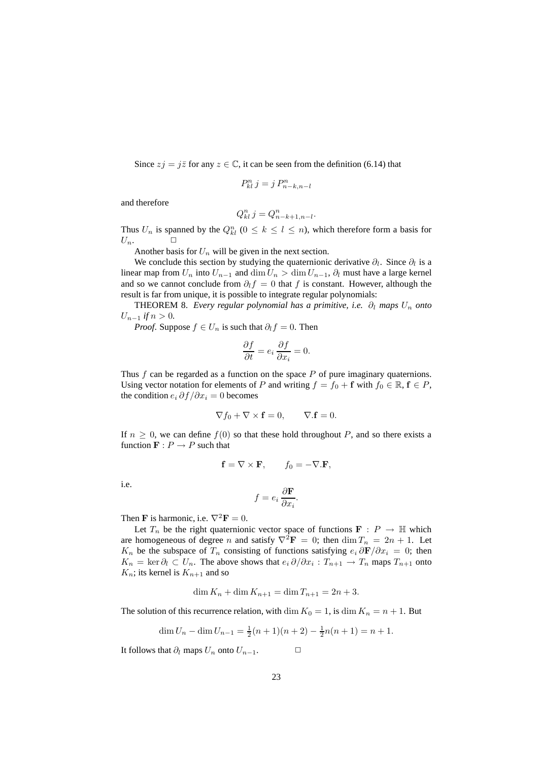Since  $zj = i\overline{z}$  for any  $z \in \mathbb{C}$ , it can be seen from the definition (6.14) that

$$
P_{kl}^n j = j P_{n-k,n-l}^n
$$

and therefore

$$
Q_{kl}^n j = Q_{n-k+1,n-l}^n.
$$

Thus  $U_n$  is spanned by the  $Q_{kl}^n$  ( $0 \le k \le l \le n$ ), which therefore form a basis for  $U_n$ .  $\Box$ 

Another basis for  $U_n$  will be given in the next section.

We conclude this section by studying the quaternionic derivative  $\partial_l$ . Since  $\partial_l$  is a linear map from  $U_n$  into  $U_{n-1}$  and  $\dim U_n > \dim U_{n-1}$ ,  $\partial_l$  must have a large kernel and so we cannot conclude from  $\partial_l f = 0$  that f is constant. However, although the result is far from unique, it is possible to integrate regular polynomials:

THEOREM 8. *Every regular polynomial has a primitive, i.e.*  $\partial_l$  *maps*  $U_n$  *onto*  $U_{n-1}$  *if*  $n > 0$ .

*Proof.* Suppose  $f \in U_n$  is such that  $\partial_l f = 0$ . Then

$$
\frac{\partial f}{\partial t} = e_i \frac{\partial f}{\partial x_i} = 0.
$$

Thus  $f$  can be regarded as a function on the space  $P$  of pure imaginary quaternions. Using vector notation for elements of P and writing  $f = f_0 + \mathbf{f}$  with  $f_0 \in \mathbb{R}, \mathbf{f} \in P$ , the condition  $e_i \partial f / \partial x_i = 0$  becomes

$$
\nabla f_0 + \nabla \times \mathbf{f} = 0, \qquad \nabla . \mathbf{f} = 0.
$$

If  $n \geq 0$ , we can define  $f(0)$  so that these hold throughout P, and so there exists a function  $\mathbf{F}: P \to P$  such that

$$
\mathbf{f} = \nabla \times \mathbf{F}, \qquad f_0 = -\nabla \cdot \mathbf{F},
$$

i.e.

$$
f = e_i \frac{\partial \mathbf{F}}{\partial x_i}.
$$

Then **F** is harmonic, i.e.  $\nabla^2 \mathbf{F} = 0$ .

Let  $T_n$  be the right quaternionic vector space of functions  $\mathbf{F} : P \to \mathbb{H}$  which are homogeneous of degree n and satisfy  $\nabla^2 \mathbf{F} = 0$ ; then  $\dim T_n = 2n + 1$ . Let K<sub>n</sub> be the subspace of  $T_n$  consisting of functions satisfying  $e_i \frac{\partial \mathbf{F}}{\partial x_i} = 0$ ; then  $K_n = \ker \partial_l \subset U_n$ . The above shows that  $e_i \partial/\partial x_i : T_{n+1} \to T_n$  maps  $T_{n+1}$  onto  $K_n$ ; its kernel is  $K_{n+1}$  and so

$$
\dim K_n + \dim K_{n+1} = \dim T_{n+1} = 2n + 3.
$$

The solution of this recurrence relation, with dim  $K_0 = 1$ , is dim  $K_n = n + 1$ . But

$$
\dim U_n - \dim U_{n-1} = \frac{1}{2}(n+1)(n+2) - \frac{1}{2}n(n+1) = n+1.
$$

It follows that  $\partial_l$  maps  $U_n$  onto  $U_{n-1}$ .  $□$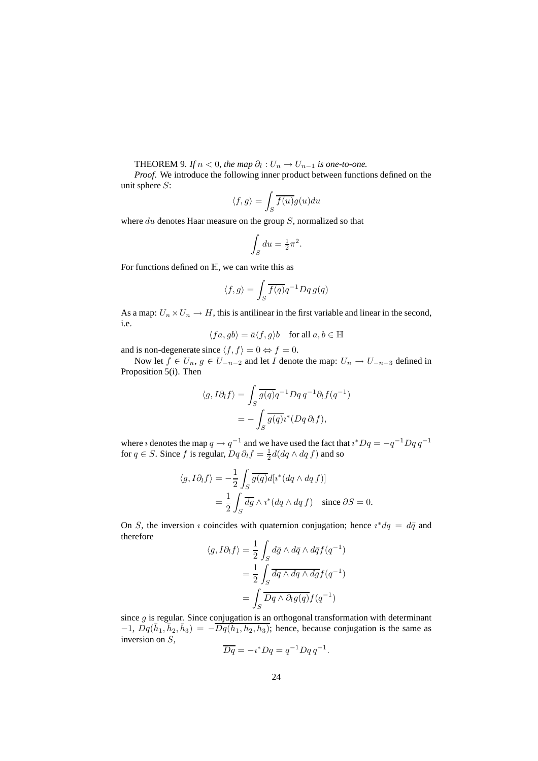**THEOREM** 9. If  $n < 0$ , the map  $\partial_l : U_n \to U_{n-1}$  is one-to-one.

*Proof*. We introduce the following inner product between functions defined on the unit sphere  $S$ :

$$
\langle f, g \rangle = \int_S \overline{f(u)} g(u) du
$$

where  $du$  denotes Haar measure on the group  $S$ , normalized so that

$$
\int_{S} du = \frac{1}{2}\pi^2.
$$

For functions defined on  $H$ , we can write this as

$$
\langle f, g \rangle = \int_S \overline{f(q)} q^{-1} Dq g(q)
$$

As a map:  $U_n \times U_n \to H$ , this is antilinear in the first variable and linear in the second, i.e.

$$
\langle fa,gb\rangle=\bar{a}\langle f,g\rangle b\quad\text{for all }a,b\in\mathbb{H}
$$

and is non-degenerate since  $\langle f, f \rangle = 0 \Leftrightarrow f = 0$ .

Now let  $f \in U_n$ ,  $g \in U_{-n-2}$  and let I denote the map:  $U_n \to U_{-n-3}$  defined in Proposition 5(i). Then

$$
\langle g, I\partial_t f \rangle = \int_S \overline{g(q)} q^{-1} Dq q^{-1} \partial_t f(q^{-1})
$$

$$
= - \int_S \overline{g(q)} i^*(Dq \partial_t f),
$$

where *i* denotes the map  $q \mapsto q^{-1}$  and we have used the fact that  $i^*Dq = -q^{-1}Dq q^{-1}$ for  $q \in S$ . Since f is regular,  $Dq \partial_l f = \frac{1}{2} d(dq \wedge dq f)$  and so

$$
\langle g, I\partial_I f \rangle = -\frac{1}{2} \int_S \overline{g(q)} d[i^* (dq \wedge dq f)]
$$
  
= 
$$
\frac{1}{2} \int_S \overline{dg} \wedge i^* (dq \wedge dq f) \text{ since } \partial S = 0.
$$

On S, the inversion *i* coincides with quaternion conjugation; hence  $i^*dq = d\bar{q}$  and therefore

$$
\langle g, I\partial_l f \rangle = \frac{1}{2} \int_S d\bar{g} \wedge d\bar{q} \wedge d\bar{q} f(q^{-1})
$$

$$
= \frac{1}{2} \int_S \overline{dq \wedge dq \wedge dg} f(q^{-1})
$$

$$
= \int_S \overline{Dq \wedge \partial_l g(q)} f(q^{-1})
$$

since  $q$  is regular. Since conjugation is an orthogonal transformation with determinant  $-1$ ,  $Dq(\bar{h}_1, \bar{h}_2, \bar{h}_3) = -\overline{Dq(h_1, h_2, h_3)}$ ; hence, because conjugation is the same as inversion on S,

$$
\overline{Dq} = -i^*Dq = q^{-1}Dq q^{-1}.
$$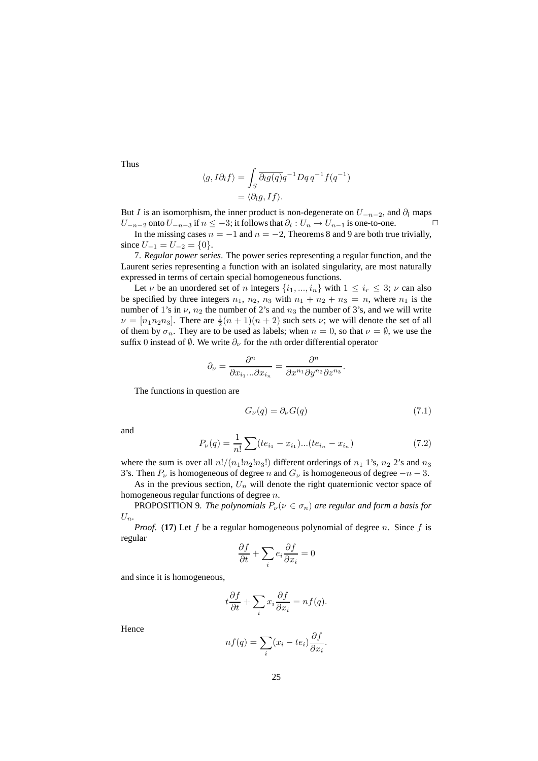$$
\langle g, I\partial_l f \rangle = \int_S \overline{\partial_l g(q)} q^{-1} Dq \, q^{-1} f(q^{-1})
$$

$$
= \langle \partial_l g, If \rangle.
$$

But I is an isomorphism, the inner product is non-degenerate on  $U_{-n-2}$ , and  $\partial_l$  maps  $U_{-n-2}$  onto  $U_{-n-3}$  if  $n \leq -3$ ; it follows that  $\partial_l : U_n \to U_{n-1}$  is one-to-one.  $\Box$ 

In the missing cases  $n = -1$  and  $n = -2$ , Theorems 8 and 9 are both true trivially, since  $U_{-1} = U_{-2} = \{0\}.$ 

7. *Regular power series*. The power series representing a regular function, and the Laurent series representing a function with an isolated singularity, are most naturally expressed in terms of certain special homogeneous functions.

Let  $\nu$  be an unordered set of n integers  $\{i_1, ..., i_n\}$  with  $1 \leq i_r \leq 3$ ;  $\nu$  can also be specified by three integers  $n_1$ ,  $n_2$ ,  $n_3$  with  $n_1 + n_2 + n_3 = n$ , where  $n_1$  is the number of 1's in  $\nu$ ,  $n_2$  the number of 2's and  $n_3$  the number of 3's, and we will write  $\nu = [n_1 n_2 n_3]$ . There are  $\frac{1}{2}(n+1)(n+2)$  such sets  $\nu$ ; we will denote the set of all of them by  $\sigma_n$ . They are to be used as labels; when  $n = 0$ , so that  $\nu = \emptyset$ , we use the suffix 0 instead of  $\emptyset$ . We write  $\partial_{\nu}$  for the *n*th order differential operator

$$
\partial_{\nu} = \frac{\partial^n}{\partial x_{i_1}...\partial x_{i_n}} = \frac{\partial^n}{\partial x^{n_1} \partial y^{n_2} \partial z^{n_3}}
$$

The functions in question are

$$
G_{\nu}(q) = \partial_{\nu}G(q) \tag{7.1}
$$

.

and

$$
P_{\nu}(q) = \frac{1}{n!} \sum (te_{i_1} - x_{i_1})...(te_{i_n} - x_{i_n})
$$
\n(7.2)

where the sum is over all  $n!/(n_1!n_2!n_3!)$  different orderings of  $n_1$  1's,  $n_2$  2's and  $n_3$ 3's. Then  $P_\nu$  is homogeneous of degree n and  $G_\nu$  is homogeneous of degree  $-n-3$ .

As in the previous section,  $U_n$  will denote the right quaternionic vector space of homogeneous regular functions of degree n.

**PROPOSITION** 9. *The polynomials*  $P_{\nu}(\nu \in \sigma_n)$  *are regular and form a basis for*  $U_n$ .

*Proof.* (17) Let f be a regular homogeneous polynomial of degree n. Since f is regular

$$
\frac{\partial f}{\partial t} + \sum_i e_i \frac{\partial f}{\partial x_i} = 0
$$

and since it is homogeneous,

$$
t\frac{\partial f}{\partial t} + \sum_{i} x_i \frac{\partial f}{\partial x_i} = n f(q).
$$

Hence

$$
nf(q) = \sum_{i} (x_i - te_i) \frac{\partial f}{\partial x_i}.
$$

Thus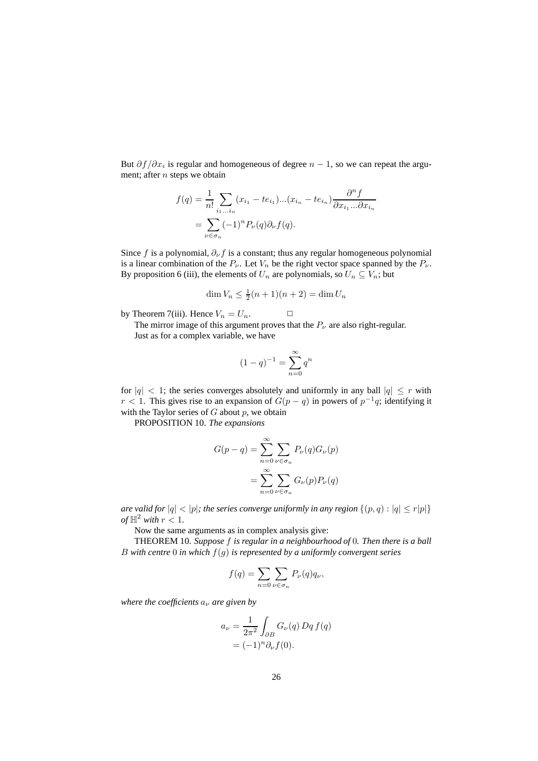But  $\partial f / \partial x_i$  is regular and homogeneous of degree  $n - 1$ , so we can repeat the argument; after  $n$  steps we obtain

$$
f(q) = \frac{1}{n!} \sum_{i_1...i_n} (x_{i_1} - te_{i_1})...(x_{i_n} - te_{i_n}) \frac{\partial^n f}{\partial x_{i_1}...\partial x_{i_n}}
$$
  
= 
$$
\sum_{\nu \in \sigma_n} (-1)^n P_{\nu}(q) \partial_{\nu} f(q).
$$

Since f is a polynomial,  $\partial_{\nu} f$  is a constant; thus any regular homogeneous polynomial is a linear combination of the  $P_{\nu}$ . Let  $V_n$  be the right vector space spanned by the  $P_{\nu}$ . By proposition 6 (iii), the elements of  $U_n$  are polynomials, so  $U_n \subseteq V_n$ ; but

$$
\dim V_n \le \frac{1}{2}(n+1)(n+2) = \dim U_n
$$

by Theorem 7(iii). Hence  $V_n = U_n$ .

The mirror image of this argument proves that the  $P_\nu$  are also right-regular. Just as for a complex variable, we have

$$
(1 - q)^{-1} = \sum_{n=0}^{\infty} q^n
$$

for  $|q| < 1$ ; the series converges absolutely and uniformly in any ball  $|q| \leq r$  with  $r < 1$ . This gives rise to an expansion of  $G(p - q)$  in powers of  $p^{-1}q$ ; identifying it with the Taylor series of  $G$  about  $p$ , we obtain

PROPOSITION 10. *The expansions*

$$
G(p-q) = \sum_{n=0}^{\infty} \sum_{\nu \in \sigma_n} P_{\nu}(q) G_{\nu}(p)
$$

$$
= \sum_{n=0}^{\infty} \sum_{\nu \in \sigma_n} G_{\nu}(p) P_{\nu}(q)
$$

*are valid* for  $|q| < |p|$ ; *the series converge uniformly in any region*  $\{(p,q) : |q| \le r|p|\}$ *of*  $\mathbb{H}^2$  *with*  $r < 1$ *.* 

Now the same arguments as in complex analysis give:

THEOREM 10. *Suppose* f *is regular in a neighbourhood of* 0*. Then there is a ball* B with centre 0 in which  $f(g)$  is represented by a uniformly convergent series

$$
f(q) = \sum_{n=0} \sum_{\nu \in \sigma_n} P_{\nu}(q) q_{\nu},
$$

*where the coefficients*  $a<sub>\nu</sub>$  *are given by* 

$$
a_{\nu} = \frac{1}{2\pi^2} \int_{\partial B} G_{\nu}(q) Dq f(q)
$$
  
=  $(-1)^n \partial_{\nu} f(0).$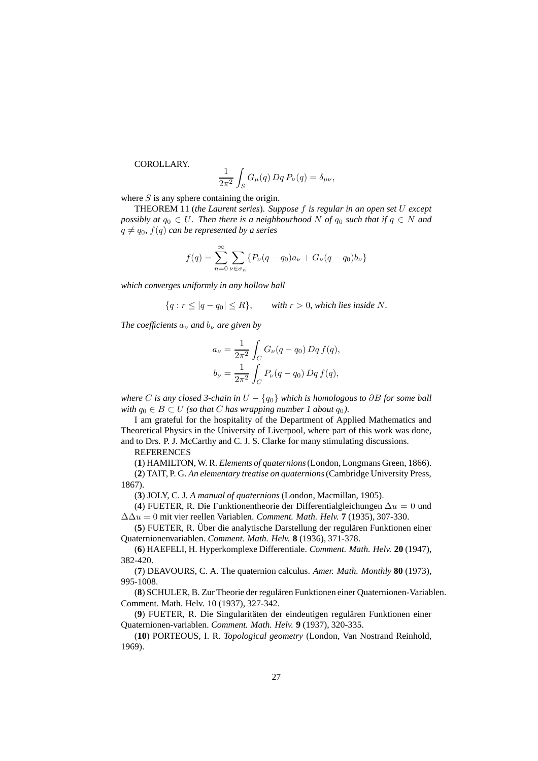COROLLARY.

$$
\frac{1}{2\pi^2}\int_S G_\mu(q)\,Dq\,P_\nu(q)=\delta_{\mu\nu},
$$

where  $S$  is any sphere containing the origin.

THEOREM 11 (*the Laurent series*). *Suppose* f *is regular in an open set* U *except possibly at*  $q_0 \in U$ *. Then there is a neighbourhood* N *of*  $q_0$  *such that if*  $q \in N$  *and*  $q \neq q_0$ ,  $f(q)$  *can be represented by a series* 

$$
f(q) = \sum_{n=0}^{\infty} \sum_{\nu \in \sigma_n} \{ P_{\nu}(q - q_0) a_{\nu} + G_{\nu}(q - q_0) b_{\nu} \}
$$

*which converges uniformly in any hollow ball*

$$
\{q: r \leq |q - q_0| \leq R\}, \quad \text{with } r > 0, \text{ which lies inside } N.
$$

*The coefficients*  $a<sub>\nu</sub>$  *and*  $b<sub>\nu</sub>$  *are given by* 

$$
a_{\nu} = \frac{1}{2\pi^2} \int_C G_{\nu}(q - q_0) Dq f(q),
$$
  

$$
b_{\nu} = \frac{1}{2\pi^2} \int_C P_{\nu}(q - q_0) Dq f(q),
$$

*where* C *is any closed 3-chain in* U − {q0} *which is homologous to* ∂B *for some ball with*  $q_0 \in B \subset U$  *(so that C has wrapping number 1 about*  $q_0$ *).* 

I am grateful for the hospitality of the Department of Applied Mathematics and Theoretical Physics in the University of Liverpool, where part of this work was done, and to Drs. P. J. McCarthy and C. J. S. Clarke for many stimulating discussions.

## **REFERENCES**

(**1**) HAMILTON, W. R. *Elements of quaternions*(London, Longmans Green, 1866).

(**2**) TAIT, P. G. *An elementary treatise on quaternions*(Cambridge University Press, 1867).

(**3**) JOLY, C. J. *A manual of quaternions* (London, Macmillan, 1905).

(**4**) FUETER, R. Die Funktionentheorie der Differentialgleichungen ∆u = 0 und ∆∆u = 0 mit vier reellen Variablen. *Comment. Math. Helv.* **7** (1935), 307-330.

(5) FUETER, R. Über die analytische Darstellung der regulären Funktionen einer Quaternionenvariablen. *Comment. Math. Helv.* **8** (1936), 371-378.

(**6**) HAEFELI, H. Hyperkomplexe Differentiale. *Comment. Math. Helv.* **20** (1947), 382-420.

(**7**) DEAVOURS, C. A. The quaternion calculus. *Amer. Math. Monthly* **80** (1973), 995-1008.

(8) SCHULER, B. Zur Theorie der regulären Funktionen einer Quaternionen-Variablen. Comment. Math. Helv. 10 (1937), 327-342.

(9) FUETER, R. Die Singularitäten der eindeutigen regulären Funktionen einer Quaternionen-variablen. *Comment. Math. Helv.* **9** (1937), 320-335.

(**10**) PORTEOUS, I. R. *Topological geometry* (London, Van Nostrand Reinhold, 1969).